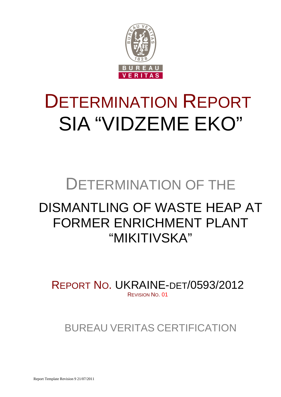

# DETERMINATION REPORT SIA "VIDZEME EKO"

# DETERMINATION OF THE

## DISMANTLING OF WASTE HEAP AT FORMER ENRICHMENT PLANT "MIKITIVSKA"

REPORT NO. UKRAINE-DET/0593/2012 REVISION NO. 01

BUREAU VERITAS CERTIFICATION

Report Template Revision 9 21/07/2011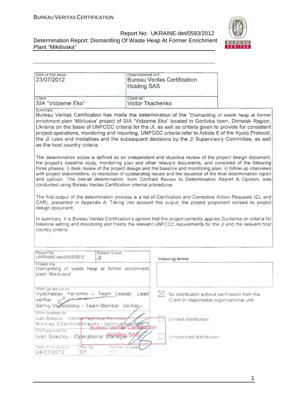# BUREAU<br><mark>VERITAS</mark>

| Report No: UKRAINE-det/0593/2012                                     |  |
|----------------------------------------------------------------------|--|
| Determination Report: Dismantling Of Waste Heap At Former Enrichment |  |
| Plant "Mikitivska"                                                   |  |

| Date of first issue:<br>23/07/2012                                                                                                                        | Organizational unit:<br><b>Bureau Veritas Certification</b><br><b>Holding SAS</b>                                                                                                                                                                                                                                                                                                                                                                                                                                                                                          |
|-----------------------------------------------------------------------------------------------------------------------------------------------------------|----------------------------------------------------------------------------------------------------------------------------------------------------------------------------------------------------------------------------------------------------------------------------------------------------------------------------------------------------------------------------------------------------------------------------------------------------------------------------------------------------------------------------------------------------------------------------|
| Client:<br>SIA "Vidzeme Eko"                                                                                                                              | Client ref.:<br>Victor Tkachenko                                                                                                                                                                                                                                                                                                                                                                                                                                                                                                                                           |
| Summary:<br>as the host country criteria.                                                                                                                 | Bureau Veritas Certification has made the determination of the "Dismantling of waste heap at former<br>enrichment plant "Mikitivska" project of SIA "Vidzeme Eko" located in Gorlivka town, Donetsk Region,<br>Ukraine on the basis of UNFCCC criteria for the JI, as well as criteria given to provide for consistent<br>project operations, monitoring and reporting. UNFCCC criteria refer to Article 6 of the Kyoto Protocol,<br>the JI rules and modalities and the subsequent decisions by the JI Supervisory Committee, as well                                     |
| conducted using Bureau Veritas Certification internal procedures.                                                                                         | The determination scope is defined as an independent and objective review of the project design document,<br>the project's baseline study, monitoring plan and other relevant documents, and consisted of the following<br>three phases: i) desk review of the project design and the baseline and monitoring plan; ii) follow-up interviews<br>with project stakeholders; iii) resolution of outstanding issues and the issuance of the final determination report<br>and opinion. The overall determination, from Contract Review to Determination Report & Opinion, was |
| design document.                                                                                                                                          | The first output of the determination process is a list of Clarification and Corrective Action Requests (CL and<br>CAR), presented in Appendix A. Taking into account this output, the project proponent revised its project                                                                                                                                                                                                                                                                                                                                               |
| country criteria.                                                                                                                                         | In summary, it is Bureau Veritas Certification's opinion that the project correctly applies Guidance on criteria for<br>baseline setting and monitoring and meets the relevant UNFCCC requirements for the JI and the relevant host                                                                                                                                                                                                                                                                                                                                        |
| Report No.<br>Subject Group<br>UKRAINE-det/0593/2012<br>JI                                                                                                | Indexing terms                                                                                                                                                                                                                                                                                                                                                                                                                                                                                                                                                             |
| Project title:<br>Dismantling of waste heap at former enrichment<br>plant "Mikitivska"                                                                    |                                                                                                                                                                                                                                                                                                                                                                                                                                                                                                                                                                            |
| Work carried out by<br>Vyacheslav Yeriomin - Team Leader, Lead<br>verifier<br>Serhiy Verteletskiy - Team Member. Verifier                                 | $ \times $<br>No distribution without permission from the<br>Client or responsible organizational unit                                                                                                                                                                                                                                                                                                                                                                                                                                                                     |
| Work reviewed by<br>Ivan Sokolov - Internal Technical Reviewe<br>Nikolay Chekhmestrenko - technica/socciats<br>Bureau Veritas Certifi<br>Work approved by | Limited distribution<br>auon                                                                                                                                                                                                                                                                                                                                                                                                                                                                                                                                               |
| Ivan Sokolov - Operational Manding SA<br>Rev No<br>Date of this revision<br>53<br>24/07/2012<br>01                                                        | Unrestricted distribution<br>Number of pages                                                                                                                                                                                                                                                                                                                                                                                                                                                                                                                               |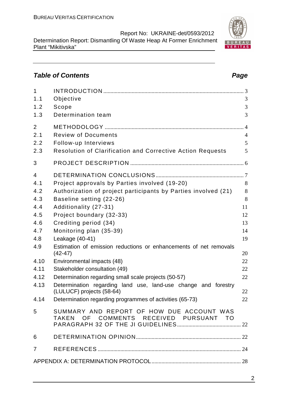## **Table of Contents Page 2018**

| $\mathbf{1}$   |                                                                                     |                |
|----------------|-------------------------------------------------------------------------------------|----------------|
| 1.1            | Objective                                                                           | 3              |
| 1.2            | Scope                                                                               | 3              |
| 1.3            | Determination team                                                                  | 3              |
| $\overline{2}$ |                                                                                     | $\overline{4}$ |
| 2.1            | <b>Review of Documents</b>                                                          | $\overline{4}$ |
| 2.2            | Follow-up Interviews                                                                | 5              |
| 2.3            | <b>Resolution of Clarification and Corrective Action Requests</b>                   | 5              |
| 3              |                                                                                     |                |
| $\overline{4}$ |                                                                                     |                |
| 4.1            | Project approvals by Parties involved (19-20)                                       | 8              |
| 4.2            | Authorization of project participants by Parties involved (21)                      | 8              |
| 4.3            | Baseline setting (22-26)                                                            | 8              |
| 4.4            | Additionality (27-31)                                                               | 11             |
| 4.5            | Project boundary (32-33)                                                            | 12             |
| 4.6            | Crediting period (34)                                                               | 13             |
| 4.7            | Monitoring plan (35-39)                                                             | 14             |
| 4.8            | Leakage (40-41)                                                                     | 19             |
| 4.9            | Estimation of emission reductions or enhancements of net removals<br>$(42 - 47)$    | 20             |
| 4.10           | Environmental impacts (48)                                                          | 22             |
| 4.11           | Stakeholder consultation (49)                                                       | 22             |
| 4.12           | Determination regarding small scale projects (50-57)                                | 22             |
| 4.13           | Determination regarding land use, land-use change and forestry                      |                |
|                | (LULUCF) projects (58-64)                                                           | 22             |
| 4.14           | Determination regarding programmes of activities (65-73)                            | 22             |
| 5              | SUMMARY AND REPORT OF HOW DUE ACCOUNT WAS<br>TAKEN OF COMMENTS RECEIVED PURSUANT TO |                |
| 6              |                                                                                     |                |
| $\overline{7}$ |                                                                                     |                |
|                |                                                                                     |                |

2

BUR VERITAS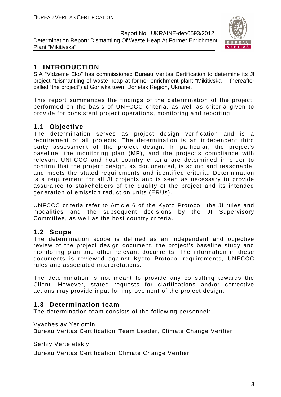

#### **1 INTRODUCTION**

SIA "Vidzeme Eko" has commissioned Bureau Veritas Certification to determine its JI project "Dismantling of waste heap at former enrichment plant "Mikitivska"" (hereafter called "the project") at Gorlivka town, Donetsk Region, Ukraine.

This report summarizes the findings of the determination of the project, performed on the basis of UNFCCC criteria, as well as criteria given to provide for consistent project operations, monitoring and reporting.

#### **1.1 Objective**

The determination serves as project design verification and is a requirement of all projects. The determination is an independent third party assessment of the project design. In particular, the project's baseline, the monitoring plan (MP), and the project's compliance with relevant UNFCCC and host country criteria are determined in order to confirm that the project design, as documented, is sound and reasonable, and meets the stated requirements and identified criteria. Determination is a requirement for all JI projects and is seen as necessary to provide assurance to stakeholders of the quality of the project and its intended generation of emission reduction units (ERUs).

UNFCCC criteria refer to Article 6 of the Kyoto Protocol, the JI rules and modalities and the subsequent decisions by the JI Supervisory Committee, as well as the host country criteria.

#### **1.2 Scope**

The determination scope is defined as an independent and objective review of the project design document, the project's baseline study and monitoring plan and other relevant documents. The information in these documents is reviewed against Kyoto Protocol requirements, UNFCCC rules and associated interpretations.

The determination is not meant to provide any consulting towards the Client. However, stated requests for clarifications and/or corrective actions may provide input for improvement of the project design.

#### **1.3 Determination team**

The determination team consists of the following personnel:

#### Vyacheslav Yeriomin

Bureau Veritas Certification Team Leader, Climate Change Verifier

Serhiy Verteletskiy

Bureau Veritas Certification Climate Change Verifier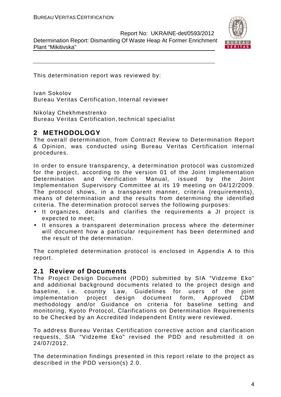Determination Report: Dismantling Of Waste Heap At Former Enrichment Plant "Mikitivska"



This determination report was reviewed by:

Ivan Sokolov Bureau Veritas Certification, Internal reviewer

Nikolay Chekhmestrenko

Bureau Veritas Certification, technical specialist

#### **2 METHODOLOGY**

The overall determination, from Contract Review to Determination Report & Opinion, was conducted using Bureau Veritas Certification internal procedures.

In order to ensure transparency, a determination protocol was customized for the project, according to the version 01 of the Joint Implementation Determination and Verification Manual, issued by the Joint Implementation Supervisory Committee at its 19 meeting on 04/12/2009. The protocol shows, in a transparent manner, criteria (requirements), means of determination and the results from determining the identified criteria. The determination protocol serves the following purposes:

- It organizes, details and clarifies the requirements a JI project is expected to meet;
- It ensures a transparent determination process where the determiner will document how a particular requirement has been determined and the result of the determination.

The completed determination protocol is enclosed in Appendix A to this report.

#### **2.1 Review of Documents**

The Project Design Document (PDD) submitted by SIA "Vidzeme Eko" and additional background documents related to the project design and baseline, i.e. country Law, Guidelines for users of the joint implementation project design document form, Approved CDM methodology and/or Guidance on criteria for baseline setting and monitoring, Kyoto Protocol, Clarifications on Determination Requirements to be Checked by an Accredited Independent Entity were reviewed.

To address Bureau Veritas Certification corrective action and clarification requests, SIA "Vidzeme Eko" revised the PDD and resubmitted it on 24/07/2012.

The determination findings presented in this report relate to the project as described in the PDD version(s) 2.0.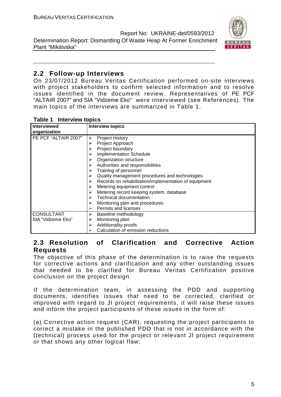

#### **2.2 Follow-up Interviews**

On 23/07/2012 Bureau Veritas Certification performed on-site interviews with project stakeholders to confirm selected information and to resolve issues identified in the document review. Representatives of PE PCF "ALTAIR 2007" and SIA "Vidzeme Eko" were interviewed (see References). The main topics of the interviews are summarized in Table 1.

| <b>Interviewed</b>   | <b>Interview topics</b>                                    |
|----------------------|------------------------------------------------------------|
| organization         |                                                            |
| PE PCF "ALTAIR 2007" | <b>Project History</b><br>⋗                                |
|                      | Project Approach                                           |
|                      | Project boundary                                           |
|                      | <b>Implementation Schedule</b>                             |
|                      | Organization structure                                     |
|                      | Authorities and responsibilities                           |
|                      | Training of personnel                                      |
|                      | Quality management procedures and technologies             |
|                      | Records on rehabilitation/implementation of equipment<br>➤ |
|                      | Metering equipment control                                 |
|                      | Metering record keeping system, database                   |
|                      | Technical documentation                                    |
|                      | Monitoring plan and procedures                             |
|                      | Permits and licenses                                       |
| <b>CONSULTANT</b>    | Baseline methodology<br>➤                                  |
| SIA "Vidzeme Eko"    | Monitoring plan                                            |
|                      | Additionality proofs                                       |
|                      | Calculation of emission reductions                         |

#### **Table 1 Interview topics**

#### **2.3 Resolution of Clarification and Corrective Action Requests**

The objective of this phase of the determination is to raise the requests for corrective actions and clarification and any other outstanding issues that needed to be clarified for Bureau Veritas Certification positive conclusion on the project design.

If the determination team, in assessing the PDD and supporting documents, identifies issues that need to be corrected, clarified or improved with regard to JI project requirements, it will raise these issues and inform the project participants of these issues in the form of:

(a) Corrective action request (CAR), requesting the project participants to correct a mistake in the published PDD that is not in accordance with the (technical) process used for the project or relevant JI project requirement or that shows any other logical flaw;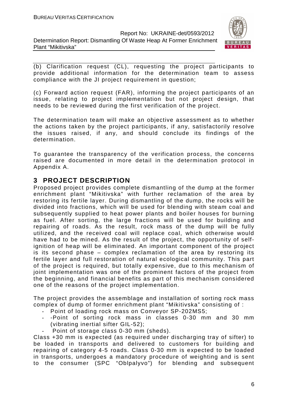

(b) Clarification request (CL), requesting the project participants to provide additional information for the determination team to assess compliance with the JI project requirement in question;

(c) Forward action request (FAR), informing the project participants of an issue, relating to project implementation but not project design, that needs to be reviewed during the first verification of the project.

The determination team will make an objective assessment as to whether the actions taken by the project participants, if any, satisfactorily resolve the issues raised, if any, and should conclude its findings of the determination.

To guarantee the transparency of the verification process, the concerns raised are documented in more detail in the determination protocol in Appendix A.

#### **3 PROJECT DESCRIPTION**

Proposed project provides complete dismantling of the dump at the former enrichment plant "Mikitivska" with further reclamation of the area by restoring its fertile layer. During dismantling of the dump, the rocks will be divided into fractions, which will be used for blending with steam coal and subsequently supplied to heat power plants and boiler houses for burning as fuel. After sorting, the large fractions will be used for building and repairing of roads. As the result, rock mass of the dump will be fully utilized, and the received coal will replace coal, which otherwise would have had to be mined. As the result of the project, the opportunity of selfignition of heap will be eliminated. An important component of the project is its second phase – complex reclamation of the area by restoring its fertile layer and full restoration of natural ecological community. This part of the project is required, but totally expensive, due to this mechanism of joint implementation was one of the prominent factors of the project from the beginning, and financial benefits as part of this mechanism considered one of the reasons of the project implementation.

The project provides the assemblage and installation of sorting rock mass complex of dump of former enrichment plant "Mikitivska" consisting of :

- Point of loading rock mass on Conveyor SP-202MS5;
- -Point of sorting rock mass in classes 0-30 mm and 30 mm (vibrating inertial sifter GIL-52);
	- Point of storage class 0-30 mm (sheds).

Class +30 mm is expected (as required under discharging tray of sifter) to be loaded in transports and delivered to customers for building and repairing of category 4-5 roads. Class 0-30 mm is expected to be loaded in transports, undergoes a mandatory procedure of weighting and is sent to the consumer (SPC "Oblpalyvo") for blending and subsequent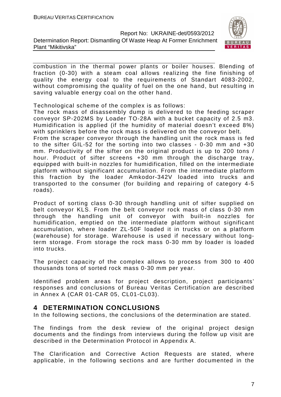

combustion in the thermal power plants or boiler houses. Blending of fraction (0-30) with a steam coal allows realizing the fine finishing of quality the energy coal to the requirements of Standart 4083-2002, without compromising the quality of fuel on the one hand, but resulting in saving valuable energy coal on the other hand.

Technological scheme of the complex is as follows:

The rock mass of disassembly dump is delivered to the feeding scraper conveyor SP-202MS by Loader TO-28A with a bucket capacity of 2.5 m3. Humidification is applied (if the humidity of material doesn't exceed 8%) with sprinklers before the rock mass is delivered on the conveyor belt. From the scraper conveyor through the handling unit the rock mass is fed to the sifter GIL-52 for the sorting into two classes - 0-30 mm and +30 mm. Productivity of the sifter on the original product is up to 200 tons / hour. Product of sifter screens +30 mm through the discharge tray, equipped with built-in nozzles for humidification, filled on the intermediate platform without significant accumulation. From the intermediate platform this fraction by the loader Amkodor-342V loaded into trucks and transported to the consumer (for building and repairing of category 4-5 roads).

Product of sorting class 0-30 through handling unit of sifter supplied on belt conveyor KLS. From the belt conveyor rock mass of class 0-30 mm through the handling unit of conveyor with built-in nozzles for humidification, emptied on the intermediate platform without significant accumulation, where loader ZL-50F loaded it in trucks or on a platform (warehouse) for storage. Warehouse is used if necessary without longterm storage. From storage the rock mass 0-30 mm by loader is loaded into trucks.

The project capacity of the complex allows to process from 300 to 400 thousands tons of sorted rock mass 0-30 mm per year.

Identified problem areas for project description, project participants' responses and conclusions of Bureau Veritas Certification are described in Annex A (CAR 01-CAR 05, CL01-CL03).

#### **4 DETERMINATION CONCLUSIONS**

In the following sections, the conclusions of the determination are stated.

The findings from the desk review of the original project design documents and the findings from interviews during the follow up visit are described in the Determination Protocol in Appendix A.

The Clarification and Corrective Action Requests are stated, where applicable, in the following sections and are further documented in the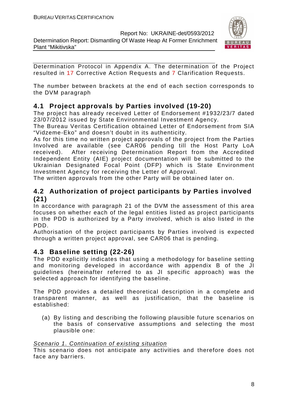Plant "Mikitivska"

Report No: UKRAINE-det/0593/2012 Determination Report: Dismantling Of Waste Heap At Former Enrichment



Determination Protocol in Appendix A. The determination of the Project resulted in 17 Corrective Action Requests and 7 Clarification Requests.

The number between brackets at the end of each section corresponds to the DVM paragraph

#### **4.1 Project approvals by Parties involved (19-20)**

The project has already received Letter of Endorsement #1932/23/7 dated 23/07/2012 issued by State Environmental Investment Agency.

The Bureau Veritas Certification obtained Letter of Endorsement from SIA "Vidzeme-Eko" and doesn't doubt in its authenticity.

As for this time no written project approvals of the project from the Parties Involved are available (see CAR06 pending till the Host Party LoA received). After receiving Determination Report from the Accredited Independent Entity (AIE) project documentation will be submitted to the Ukrainian Designated Focal Point (DFP) which is State Environment Investment Agency for receiving the Letter of Approval.

The written approvals from the other Party will be obtained later on.

#### **4.2 Authorization of project participants by Parties involved (21)**

In accordance with paragraph 21 of the DVM the assessment of this area focuses on whether each of the legal entities listed as project participants in the PDD is authorized by a Party involved, which is also listed in the PDD.

Authorisation of the project participants by Parties involved is expected through a written project approval, see CAR06 that is pending.

#### **4.3 Baseline setting (22-26)**

The PDD explicitly indicates that using a methodology for baseline setting and monitoring developed in accordance with appendix B of the JI guidelines (hereinafter referred to as JI specific approach) was the selected approach for identifying the baseline.

The PDD provides a detailed theoretical description in a complete and transparent manner, as well as justification, that the baseline is established:

(a) By listing and describing the following plausible future scenarios on the basis of conservative assumptions and selecting the most plausible one:

#### Scenario 1. Continuation of existing situation

This scenario does not anticipate any activities and therefore does not face any barriers.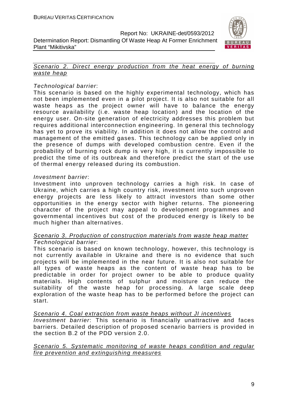

#### Scenario 2. Direct energy production from the heat energy of burning waste heap

#### Technological barrier:

Plant "Mikitivska"

This scenario is based on the highly experimental technology, which has not been implemented even in a pilot project. It is also not suitable for all waste heaps as the project owner will have to balance the energy resource availability (i.e. waste heap location) and the location of the energy user. On-site generation of electricity addresses this problem but requires additional interconnection engineering. In general this technology has yet to prove its viability. In addition it does not allow the control and management of the emitted gases. This technology can be applied only in the presence of dumps with developed combustion centre. Even if the probability of burning rock dump is very high, it is currently impossible to predict the time of its outbreak and therefore predict the start of the use of thermal energy released during its combustion.

#### Investment barrier:

Investment into unproven technology carries a high risk. In case of Ukraine, which carries a high country risk, investment into such unproven energy projects are less likely to attract investors than some other opportunities in the energy sector with higher returns. The pioneering character of the project may appeal to development programmes and governmental incentives but cost of the produced energy is likely to be much higher than alternatives.

#### Scenario 3. Production of construction materials from waste heap matter Technological barrier:

This scenario is based on known technology, however, this technology is not currently available in Ukraine and there is no evidence that such projects will be implemented in the near future. It is also not suitable for all types of waste heaps as the content of waste heap has to be predictable in order for project owner to be able to produce quality materials. High contents of sulphur and moisture can reduce the suitability of the waste heap for processing. A large scale deep exploration of the waste heap has to be performed before the project can start.

Scenario 4. Coal extraction from waste heaps without JI incentives

Investment barrier: This scenario is financially unattractive and faces barriers. Detailed description of proposed scenario barriers is provided in the section B.2 of the PDD version 2.0.

#### Scenario 5. Systematic monitoring of waste heaps condition and regular fire prevention and extinguishing measures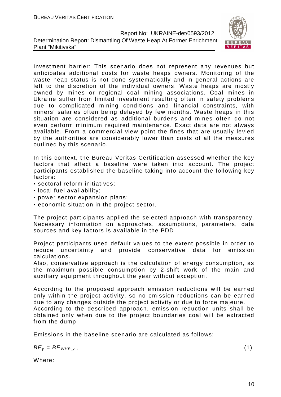

Investment barrier: This scenario does not represent any revenues but anticipates additional costs for waste heaps owners. Monitoring of the waste heap status is not done systematically and in general actions are left to the discretion of the individual owners. Waste heaps are mostly owned by mines or regional coal mining associations. Coal mines in Ukraine suffer from limited investment resulting often in safety problems due to complicated mining conditions and financial constraints, with miners' salaries often being delayed by few months. Waste heaps in this situation are considered as additional burdens and mines often do not even perform minimum required maintenance. Exact data are not always available. From a commercial view point the fines that are usually levied by the authorities are considerably lower than costs of all the measures outlined by this scenario.

In this context, the Bureau Veritas Certification assessed whether the key factors that affect a baseline were taken into account. The project participants established the baseline taking into account the following key factors:

- sectoral reform initiatives;
- local fuel availability;
- power sector expansion plans;
- economic situation in the project sector.

The project participants applied the selected approach with transparency. Necessary information on approaches, assumptions, parameters, data sources and key factors is available in the PDD

Project participants used default values to the extent possible in order to reduce uncertainty and provide conservative data for emission calculations.

Also, conservative approach is the calculation of energy consumption, as the maximum possible consumption by 2-shift work of the main and auxiliary equipment throughout the year without exception.

According to the proposed approach emission reductions will be earned only within the project activity, so no emission reductions can be earned due to any changes outside the project activity or due to force majeure.

According to the described approach, emission reduction units shall be obtained only when due to the project boundaries coal will be extracted from the dump

Emissions in the baseline scenario are calculated as follows:

 $BE_v = BE_{WHB.v}$ , (1)

Where: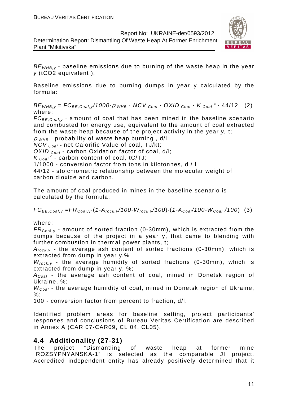Determination Report: Dismantling Of Waste Heap At Former Enrichment Plant "Mikitivska"



 $BE_{WHB,y}$  - baseline emissions due to burning of the waste heap in the year y (tCO2 equivalent ),

Baseline emissions due to burning dumps in year y calculated by the formula:

 $BE_{WHB,y} = FC_{BE,Coal,y}/1000 \cdot \rho_{WHB} \cdot NCV_{Coal} \cdot OXID_{Coal} \cdot K_{Coal}^c \cdot 44/12$  (2) where:

 $FC_{BE, coal,v}$  - amount of coal that has been mined in the baseline scenario and combusted for energy use, equivalent to the amount of coal extracted from the waste heap because of the project activity in the year y, t;

 $\rho$  w<sub>HB</sub> - probability of waste heap burning, d/l;

 $NCV_{Coal}$  - net Calorific Value of coal, TJ/kt;

OXID  $_{Coal}$  - carbon Oxidation factor of coal, d/l;

 $K_{\text{Coal}}^c$  - carbon content of coal, tC/TJ;

1/1000 - conversion factor from tons in kilotonnes, d / l

44/12 - stoichiometric relationship between the molecular weight of carbon dioxide and carbon.

The amount of coal produced in mines in the baseline scenario is calculated by the formula:

 $FC_{BE,Coal,v} = FR_{Coal,v} (1-A_{rock,v}/100-W_{rock,v}/100) (1-A_{Coal}/100-W_{Coal}/100)$  (3)

where:

 $FR_{\text{Coal},y}$  - amount of sorted fraction (0-30mm), which is extracted from the dumps because of the project in a year y, that came to blending with further combustion in thermal power plants, t;

 $A_{rock, v}$  - the average ash content of sorted fractions (0-30mm), which is extracted from dump in year y,%

 $W_{rock, v}$  - the average humidity of sorted fractions (0-30mm), which is extracted from dump in year y, %;

 $A_{Coal}$  - the average ash content of coal, mined in Donetsk region of Ukraine, %;

 $W_{Coal}$  - the average humidity of coal, mined in Donetsk region of Ukraine,  $\%$ :

100 - conversion factor from percent to fraction, d/l.

Identified problem areas for baseline setting, project participants' responses and conclusions of Bureau Veritas Certification are described in Annex A (CAR 07-CAR09, CL 04, CL05).

#### **4.4 Additionality (27-31)**

The project "Dismantling of waste heap at former mine "ROZSYPNYANSKA-1" is selected as the comparable JI project. Accredited independent entity has already positively determined that it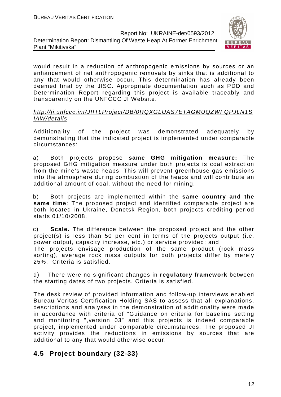Determination Report: Dismantling Of Waste Heap At Former Enrichment Plant "Mikitivska"



would result in a reduction of anthropogenic emissions by sources or an enhancement of net anthropogenic removals by sinks that is additional to any that would otherwise occur. This determination has already been deemed final by the JISC. Appropriate documentation such as PDD and Determination Report regarding this project is available traceably and transparently on the UNFCCC JI Website.

#### http://ji.unfccc.int/JIITLProject/DB/0RQXGLUAS7ETAGMUQZWFQPJLN1S IAW/details

Additionality of the project was demonstrated adequately by demonstrating that the indicated project is implemented under comparable circumstances:

a) Both projects propose **same GHG mitigation measure:** The proposed GHG mitigation measure under both projects is coal extraction from the mine's waste heaps. This will prevent greenhouse gas emissions into the atmosphere during combustion of the heaps and will contribute an additional amount of coal, without the need for mining.

b) Both projects are implemented within the **same country and the same time**: The proposed project and identified comparable project are both located in Ukraine, Donetsk Region, both projects crediting period starts 01/10/2008.

c) **Scale.** The difference between the proposed project and the other project(s) is less than 50 per cent in terms of the projects output (i.e. power output, capacity increase, etc.) or service provided; and The projects envisage production of the same product (rock mass sorting), average rock mass outputs for both projects differ by merely 25%. Criteria is satisfied.

d) There were no significant changes in **regulatory framework** between the starting dates of two projects. Criteria is satisfied.

The desk review of provided information and follow-up interviews enabled Bureau Veritas Certification Holding SAS to assess that all explanations, descriptions and analyses in the demonstration of additionality were made in accordance with criteria of "Guidance on criteria for baseline setting and monitoring ",version 03" and this projects is indeed comparable project, implemented under comparable circumstances. The proposed JI activity provides the reductions in emissions by sources that are additional to any that would otherwise occur.

## **4.5 Project boundary (32-33)**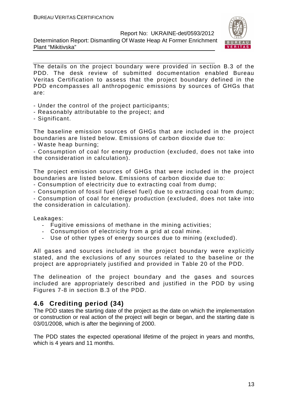Determination Report: Dismantling Of Waste Heap At Former Enrichment Plant "Mikitivska"



The details on the project boundary were provided in section B.3 of the PDD. The desk review of submitted documentation enabled Bureau Veritas Certification to assess that the project boundary defined in the PDD encompasses all anthropogenic emissions by sources of GHGs that are:

- Under the control of the project participants;
- Reasonably attributable to the project; and
- Significant.

The baseline emission sources of GHGs that are included in the project boundaries are listed below. Emissions of carbon dioxide due to:

- Waste heap burning;

- Consumption of coal for energy production (excluded, does not take into the consideration in calculation).

The project emission sources of GHGs that were included in the project boundaries are listed below. Emissions of carbon dioxide due to:

- Consumption of electricity due to extracting coal from dump;

- Consumption of fossil fuel (diesel fuel) due to extracting coal from dump;

- Consumption of coal for energy production (excluded, does not take into the consideration in calculation).

Leakages:

- Fugitive emissions of methane in the mining activities;
- Consumption of electricity from a grid at coal mine.
- Use of other types of energy sources due to mining (excluded).

All gases and sources included in the project boundary were explicitly stated, and the exclusions of any sources related to the baseline or the project are appropriately justified and provided in Table 20 of the PDD.

The delineation of the project boundary and the gases and sources included are appropriately described and justified in the PDD by using Figures 7-8 in section B.3 of the PDD.

#### **4.6 Crediting period (34)**

The PDD states the starting date of the project as the date on which the implementation or construction or real action of the project will begin or began, and the starting date is 03/01/2008, which is after the beginning of 2000.

The PDD states the expected operational lifetime of the project in years and months, which is 4 years and 11 months.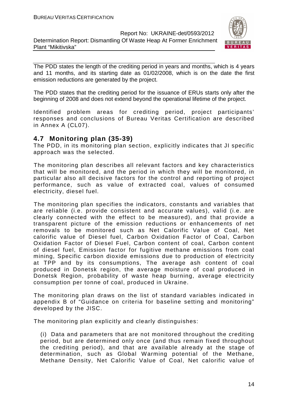

The PDD states the length of the crediting period in years and months, which is 4 years and 11 months, and its starting date as 01/02/2008, which is on the date the first emission reductions are generated by the project.

The PDD states that the crediting period for the issuance of ERUs starts only after the beginning of 2008 and does not extend beyond the operational lifetime of the project.

Identified problem areas for crediting period, project participants' responses and conclusions of Bureau Veritas Certification are described in Annex A (CL07).

#### **4.7 Monitoring plan (35-39)**

The PDD, in its monitoring plan section, explicitly indicates that JI specific approach was the selected.

The monitoring plan describes all relevant factors and key characteristics that will be monitored, and the period in which they will be monitored, in particular also all decisive factors for the control and reporting of project performance, such as value of extracted coal, values of consumed electricity, diesel fuel.

The monitoring plan specifies the indicators, constants and variables that are reliable (i.e. provide consistent and accurate values), valid (i.e. are clearly connected with the effect to be measured), and that provide a transparent picture of the emission reductions or enhancements of net removals to be monitored such as Net Calorific Value of Coal, Net calorific value of Diesel fuel, Carbon Oxidation Factor of Coal, Carbon Oxidation Factor of Diesel Fuel, Carbon content of coal, Carbon content of diesel fuel, Emission factor for fugitive methane emissions from coal mining, Specific carbon dioxide emissions due to production of electricity at TPP and by its consumptions, The average ash content of coal produced in Donetsk region, the average moisture of coal produced in Donetsk Region, probability of waste heap burning, average electricity consumption per tonne of coal, produced in Ukraine.

The monitoring plan draws on the list of standard variables indicated in appendix B of "Guidance on criteria for baseline setting and monitoring" developed by the JISC.

The monitoring plan explicitly and clearly distinguishes:

(i) Data and parameters that are not monitored throughout the crediting period, but are determined only once (and thus remain fixed throughout the crediting period), and that are available already at the stage of determination, such as Global Warming potential of the Methane, Methane Density, Net Calorific Value of Coal, Net calorific value of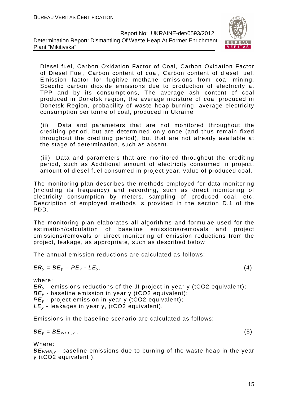

Diesel fuel, Carbon Oxidation Factor of Coal, Carbon Oxidation Factor of Diesel Fuel, Carbon content of coal, Carbon content of diesel fuel, Emission factor for fugitive methane emissions from coal mining, Specific carbon dioxide emissions due to production of electricity at TPP and by its consumptions, The average ash content of coal produced in Donetsk region, the average moisture of coal produced in Donetsk Region, probability of waste heap burning, average electricity consumption per tonne of coal, produced in Ukraine

(ii) Data and parameters that are not monitored throughout the crediting period, but are determined only once (and thus remain fixed throughout the crediting period), but that are not already available at the stage of determination, such as absent.

(iii) Data and parameters that are monitored throughout the crediting period, such as Additional amount of electricity consumed in project, amount of diesel fuel consumed in project year, value of produced coal.

The monitoring plan describes the methods employed for data monitoring (including its frequency) and recording, such as direct monitoring of electricity consumption by meters, sampling of produced coal, etc. Description of employed methods is provided in the section D.1 of the PDD.

The monitoring plan elaborates all algorithms and formulae used for the estimation/calculation of baseline emissions/removals and project emissions/removals or direct monitoring of emission reductions from the project, leakage, as appropriate, such as described below

The annual emission reductions are calculated as follows:

$$
ER_y = BE_y - PE_y - LE_y, \tag{4}
$$

where:

 $ER<sub>v</sub>$  - emissions reductions of the JI project in year y (tCO2 equivalent);  $BE_{y}$  - baseline emission in year y (tCO2 equivalent);  $PE_v$  - project emission in year y (tCO2 equivalent);  $LE_v$  - leakages in year y, (tCO2 equivalent).

Emissions in the baseline scenario are calculated as follows:

 $BE_v = BE_{WHB,v}$ , (5)

Where:

 $BE_{\text{WHR }y}$  - baseline emissions due to burning of the waste heap in the year y (tCO2 equivalent ),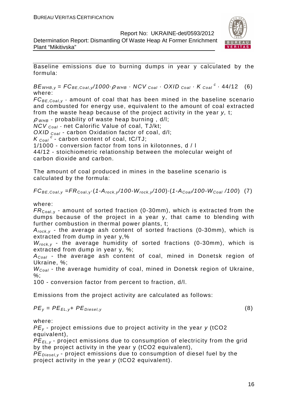Determination Report: Dismantling Of Waste Heap At Former Enrichment Plant "Mikitivska"



Baseline emissions due to burning dumps in year y calculated by the formula:

 $BE_{WHB,y} = FC_{BE,Coal,y}/1000 \cdot \rho_{WHB} \cdot NCV_{Coal} \cdot OXID_{Coal} \cdot K_{Coal}^c \cdot 44/12$  (6) where:

 $FC_{BE, coal,v}$  - amount of coal that has been mined in the baseline scenario and combusted for energy use, equivalent to the amount of coal extracted from the waste heap because of the project activity in the year y, t;

 $\rho$  w<sub>HB</sub> - probability of waste heap burning, d/l;

 $NCV_{Coal}$  - net Calorific Value of coal, TJ/kt;

OXID  $_{Coal}$  - carbon Oxidation factor of coal, d/l;

 $K_{\text{Coal}}^{\text{c}}$  - carbon content of coal, tC/TJ;

1/1000 - conversion factor from tons in kilotonnes, d / l

44/12 - stoichiometric relationship between the molecular weight of carbon dioxide and carbon.

The amount of coal produced in mines in the baseline scenario is calculated by the formula:

$$
FC_{BE,Coal,y} = FR_{Coal,y} \cdot (1 - A_{rock,y}/100 - W_{rock,y}/100) \cdot (1 - A_{Coal}/100 - W_{Coal}/100) \tag{7}
$$

where:

 $FR_{\text{Coal,v}}$  - amount of sorted fraction (0-30mm), which is extracted from the dumps because of the project in a year y, that came to blending with further combustion in thermal power plants, t;

 $A_{rock, v}$  - the average ash content of sorted fractions (0-30mm), which is extracted from dump in year y,%

 $W_{rock, v}$  - the average humidity of sorted fractions (0-30mm), which is extracted from dump in year y, %;

 $A_{Coal}$  - the average ash content of coal, mined in Donetsk region of Ukraine, %;

 $W_{Coal}$  - the average humidity of coal, mined in Donetsk region of Ukraine, %;

100 - conversion factor from percent to fraction, d/l.

Emissions from the project activity are calculated as follows:

$$
PE_{y} = PE_{EL,y} + PE_{Diesel,y}
$$
 (8)

where:

 $PE<sub>v</sub>$  - project emissions due to project activity in the year  $v$  (tCO2 equivalent),

PE<sub>EL,y</sub> - project emissions due to consumption of electricity from the grid by the project activity in the year y (tCO2 equivalent),

 $PE_{\text{Diesel v}}$  - project emissions due to consumption of diesel fuel by the project activity in the year y (tCO2 equivalent).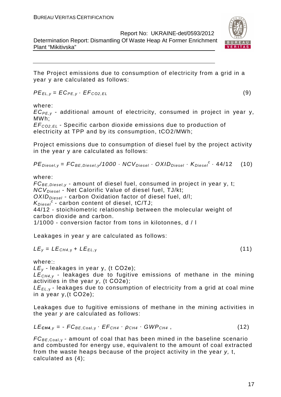Determination Report: Dismantling Of Waste Heap At Former Enrichment Plant "Mikitivska"

The Project emissions due to consumption of electricity from a grid in a year y are calculated as follows:

$$
PE_{EL,y} = EC_{PE,y} \cdot EF_{CO2,EL}
$$
 (9)

where:

 $EC_{PE,V}$  - additional amount of electricity, consumed in project in year y, MWh;

EF<sup>C</sup>*О*2,EL - Specific carbon dioxide emissions due to production of electricity at TPP and by its consumption, tCO2/MWh;

Project emissions due to consumption of diesel fuel by the project activity in the year y are calculated as follows:

 $PE_{\text{Diesel},y} = FC_{\text{BE},\text{Diesel},y} / 1000 \cdot NCV_{\text{Diesel}} \cdot OX / D_{\text{Diesel}} \cdot K_{\text{Diesel}}^c \cdot 44 / 12$  (10)

where:

 $FC_{BE, Diesel, y}$  - amount of diesel fuel, consumed in project in year y, t; NCV<sub>Diesel</sub> - Net Calorific Value of diesel fuel, TJ/kt:

 $OXID<sub>Diesel</sub>$  - carbon Oxidation factor of diesel fuel, d/l;

 $K_{Diesel}^c$  - carbon content of diesel, tC/TJ;

44/12 - stoichiometric relationship between the molecular weight of carbon dioxide and carbon.

1/1000 - conversion factor from tons in kilotonnes, d / l

Leakages in year y are calculated as follows:

$$
LE_y = LE_{CH4,y} + LE_{EL,y}
$$
 (11)

where::

 $LE<sub>v</sub>$  - leakages in year y, (t CO2e);

 $LE<sub>CH4,V</sub>$  - leakages due to fugitive emissions of methane in the mining activities in the year y, (t СО2е);

 $LE_{FL, y}$  - leakages due to consumption of electricity from a grid at coal mine in a year y,(t СО2е);

Leakages due to fugitive emissions of methane in the mining activities in the year y are calculated as follows:

$$
LE_{\text{CH4},y} = -FC_{BE,Coal,y} \cdot EF_{CH4} \cdot \rho_{CH4} \cdot GWP_{CH4}, \qquad (12)
$$

 $FC_{BE,Coal,v}$  - amount of coal that has been mined in the baseline scenario and combusted for energy use, equivalent to the amount of coal extracted from the waste heaps because of the project activity in the year y, t, calculated as (4);

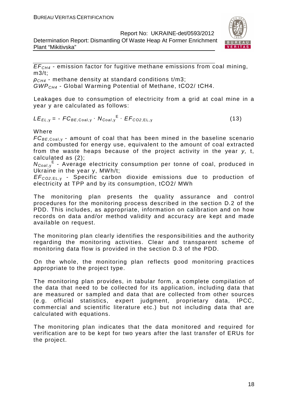Determination Report: Dismantling Of Waste Heap At Former Enrichment Plant "Mikitivska"



 $EF<sub>CH4</sub>$  - emission factor for fugitive methane emissions from coal mining,  $m3/t$ :

 $\rho_{CH4}$  - methane density at standard conditions t/m3; GWPCH4 - Global Warming Potential of Methane, tСО2/ tСН4.

Leakages due to consumption of electricity from a grid at coal mine in a year y are calculated as follows:

$$
LE_{EL,y} = -FC_{BE,Coal,y} \cdot N_{Coal,y}^{E} \cdot EF_{CO2,EL,y}
$$
 (13)

Where

 $FC_{BE, coal,v}$  - amount of coal that has been mined in the baseline scenario and combusted for energy use, equivalent to the amount of coal extracted from the waste heaps because of the project activity in the year y, t, calculated as (2);

N<sub>Coal,y</sub><sup>E</sup> - Average electricity consumption per tonne of coal, produced in Ukraine in the year y, MWh/t;

EF<sup>C</sup>*О*2,EL, <sup>у</sup> - Specific carbon dioxide emissions due to production of electricity at TPP and by its consumption, tСО2/ MWh

The monitoring plan presents the quality assurance and control procedures for the monitoring process described in the section D.2 of the PDD. This includes, as appropriate, information on calibration and on how records on data and/or method validity and accuracy are kept and made available on request.

The monitoring plan clearly identifies the responsibilities and the authority regarding the monitoring activities. Clear and transparent scheme of monitoring data flow is provided in the section D.3 of the PDD.

On the whole, the monitoring plan reflects good monitoring practices appropriate to the project type.

The monitoring plan provides, in tabular form, a complete compilation of the data that need to be collected for its application, including data that are measured or sampled and data that are collected from other sources (e.g. official statistics, expert judgment, proprietary data, IPCC, commercial and scientific literature etc.) but not including data that are calculated with equations.

The monitoring plan indicates that the data monitored and required for verification are to be kept for two years after the last transfer of ERUs for the project.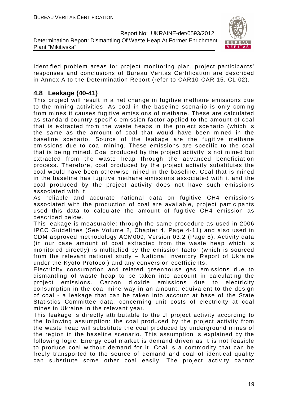

Identified problem areas for project monitoring plan, project participants' responses and conclusions of Bureau Veritas Certification are described in Annex A to the Determination Report (refer to CAR10-CAR 15, CL 02).

#### **4.8 Leakage (40-41)**

This project will result in a net change in fugitive methane emissions due to the mining activities. As coal in the baseline scenario is only coming from mines it causes fugitive emissions of methane. These are calculated as standard country specific emission factor applied to the amount of coal that is extracted from the waste heaps in the project scenario (which is the same as the amount of coal that would have been mined in the baseline scenario. Source of the leakage are the fugitive methane emissions due to coal mining. These emissions are specific to the coal that is being mined. Coal produced by the project activity is not mined but extracted from the waste heap through the advanced beneficiation process. Therefore, coal produced by the project activity substitutes the coal would have been otherwise mined in the baseline. Coal that is mined in the baseline has fugitive methane emissions associated with it and the coal produced by the project activity does not have such emissions associated with it.

As reliable and accurate national data on fugitive CH4 emissions associated with the production of coal are available, project participants used this data to calculate the amount of fugitive CH4 emission as described below.

This leakage is measurable: through the same procedure as used in 2006 IPCC Guidelines (See Volume 2, Chapter 4, Page 4-11) and also used in CDM approved methodology ACM009, Version 03.2 (Page 8). Activity data (in our case amount of coal extracted from the waste heap which is monitored directly) is multiplied by the emission factor (which is sourced from the relevant national study – National Inventory Report of Ukraine under the Kyoto Protocol) and any conversion coefficients.

Electricity consumption and related greenhouse gas emissions due to dismantling of waste heap to be taken into account in calculating the project emissions. Carbon dioxide emissions due to electricity consumption in the coal mine way in an amount, equivalent to the design of coal - a leakage that can be taken into account at base of the State Statistics Committee data, concerning unit costs of electricity at coal mines in Ukraine in the relevant year.

This leakage is directly attributable to the JI project activity according to the following assumption: the coal produced by the project activity from the waste heap will substitute the coal produced by underground mines of the region in the baseline scenario. This assumption is explained by the following logic: Energy coal market is demand driven as it is not feasible to produce coal without demand for it. Coal is a commodity that can be freely transported to the source of demand and coal of identical quality can substitute some other coal easily. The project activity cannot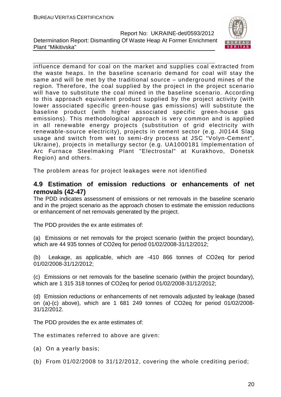

influence demand for coal on the market and supplies coal extracted from the waste heaps. In the baseline scenario demand for coal will stay the same and will be met by the traditional source – underground mines of the region. Therefore, the coal supplied by the project in the project scenario will have to substitute the coal mined in the baseline scenario. According to this approach equivalent product supplied by the project activity (with lower associated specific green-house gas emissions) will substitute the baseline product (with higher associated specific green-house gas emissions). This methodological approach is very common and is applied in all renewable energy projects (substitution of grid electricity with renewable-source electricity), projects in cement sector (e.g. JI0144 Slag usage and switch from wet to semi-dry process at JSC "Volyn-Cement", Ukraine), projects in metallurgy sector (e.g. UA1000181 Implementation of Arc Furnace Steelmaking Plant "Electrostal" at Kurakhovo, Donetsk Region) and others.

The problem areas for project leakages were not identified

#### **4.9 Estimation of emission reductions or enhancements of net removals (42-47)**

The PDD indicates assessment of emissions or net removals in the baseline scenario and in the project scenario as the approach chosen to estimate the emission reductions or enhancement of net removals generated by the project.

The PDD provides the ex ante estimates of:

(a) Emissions or net removals for the project scenario (within the project boundary), which are 44 935 tonnes of CO2eq for period 01/02/2008-31/12/2012;

(b) Leakage, as applicable, which are -410 866 tonnes of CO2eq for period 01/02/2008-31/12/2012;

(c) Emissions or net removals for the baseline scenario (within the project boundary), which are 1 315 318 tonnes of CO2eq for period 01/02/2008-31/12/2012;

(d) Emission reductions or enhancements of net removals adjusted by leakage (based on (a)-(c) above), which are 1 681 249 tonnes of CO2eq for period 01/02/2008- 31/12/2012.

The PDD provides the ex ante estimates of:

The estimates referred to above are given:

- (a) On a yearly basis;
- (b) From 01/02/2008 to 31/12/2012, covering the whole crediting period;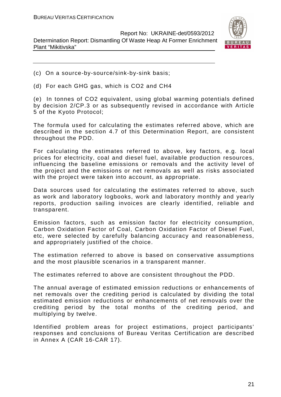

- (c) On a source-by-source/sink-by-sink basis;
- (d) For each GHG gas, which is CO2 and CH4

(e) In tonnes of CO2 equivalent, using global warming potentials defined by decision 2/CP.3 or as subsequently revised in accordance with Article 5 of the Kyoto Protocol;

The formula used for calculating the estimates referred above, which are described in the section 4.7 of this Determination Report, are consistent throughout the PDD.

For calculating the estimates referred to above, key factors, e.g. local prices for electricity, coal and diesel fuel, available production resources, influencing the baseline emissions or removals and the activity level of the project and the emissions or net removals as well as risks associated with the project were taken into account, as appropriate.

Data sources used for calculating the estimates referred to above, such as work and laboratory logbooks, work and laboratory monthly and yearly reports, production sailing invoices are clearly identified, reliable and transparent.

Emission factors, such as emission factor for electricity consumption, Carbon Oxidation Factor of Coal, Carbon Oxidation Factor of Diesel Fuel, etc, were selected by carefully balancing accuracy and reasonableness, and appropriately justified of the choice.

The estimation referred to above is based on conservative assumptions and the most plausible scenarios in a transparent manner.

The estimates referred to above are consistent throughout the PDD.

The annual average of estimated emission reductions or enhancements of net removals over the crediting period is calculated by dividing the total estimated emission reductions or enhancements of net removals over the crediting period by the total months of the crediting period, and multiplying by twelve.

Identified problem areas for project estimations, project participants' responses and conclusions of Bureau Veritas Certification are described in Annex A (CAR 16-CAR 17).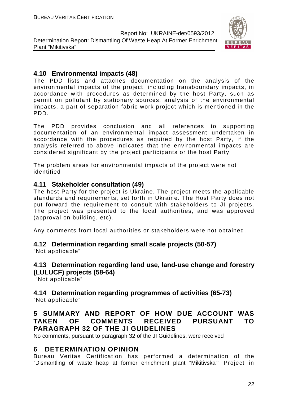

#### **4.10 Environmental impacts (48)**

The PDD lists and attaches documentation on the analysis of the environmental impacts of the project, including transboundary impacts, in accordance with procedures as determined by the host Party, such as permit on pollutant by stationary sources, analysis of the environmental impacts, a part of separation fabric work project which is mentioned in the PDD.

The PDD provides conclusion and all references to supporting documentation of an environmental impact assessment undertaken in accordance with the procedures as required by the host Party, if the analysis referred to above indicates that the environmental impacts are considered significant by the project participants or the host Party.

The problem areas for environmental impacts of the project were not identified

#### **4.11 Stakeholder consultation (49)**

The host Party for the project is Ukraine. The project meets the applicable standards and requirements, set forth in Ukraine. The Host Party does not put forward the requirement to consult with stakeholders to JI projects. The project was presented to the local authorities, and was approved (approval on building, etc).

Any comments from local authorities or stakeholders were not obtained.

## **4.12 Determination regarding small scale projects (50-57)**

"Not applicable"

#### **4.13 Determination regarding land use, land-use change and forestry (LULUCF) projects (58-64)**

"Not applicable"

#### **4.14 Determination regarding programmes of activities (65-73)**  "Not applicable"

#### **5 SUMMARY AND REPORT OF HOW DUE ACCOUNT WAS TAKEN OF COMMENTS RECEIVED PURSUANT TO PARAGRAPH 32 OF THE JI GUIDELINES**

No comments, pursuant to paragraph 32 of the JI Guidelines, were received

#### **6 DETERMINATION OPINION**

Bureau Veritas Certification has performed a determination of the "Dismantling of waste heap at former enrichment plant "Mikitivska"" Project in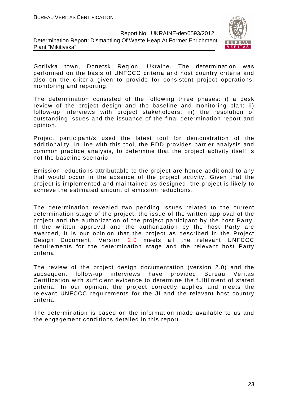

Gorlivka town, Donetsk Region, Ukraine. The determination was performed on the basis of UNFCCC criteria and host country criteria and also on the criteria given to provide for consistent project operations, monitoring and reporting.

The determination consisted of the following three phases: i) a desk review of the project design and the baseline and monitoring plan; ii) follow-up interviews with project stakeholders; iii) the resolution of outstanding issues and the issuance of the final determination report and opinion.

Project participant/s used the latest tool for demonstration of the additionality. In line with this tool, the PDD provides barrier analysis and common practice analysis, to determine that the project activity itself is not the baseline scenario.

Emission reductions attributable to the project are hence additional to any that would occur in the absence of the project activity. Given that the project is implemented and maintained as designed, the project is likely to achieve the estimated amount of emission reductions.

The determination revealed two pending issues related to the current determination stage of the project: the issue of the written approval of the project and the authorization of the project participant by the host Party. If the written approval and the authorization by the host Party are awarded, it is our opinion that the project as described in the Project Design Document, Version 2.0 meets all the relevant UNFCCC requirements for the determination stage and the relevant host Party criteria.

The review of the project design documentation (version 2.0) and the subsequent follow-up interviews have provided Bureau Veritas Certification with sufficient evidence to determine the fulfillment of stated criteria. In our opinion, the project correctly applies and meets the relevant UNFCCC requirements for the JI and the relevant host country criteria.

The determination is based on the information made available to us and the engagement conditions detailed in this report.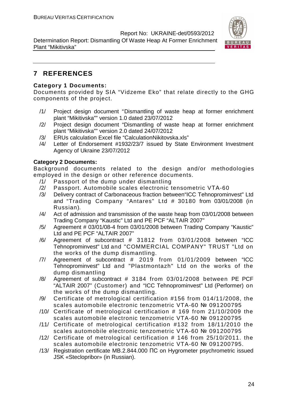Determination Report: Dismantling Of Waste Heap At Former Enrichment Plant "Mikitivska"



## **7 REFERENCES**

#### **Category 1 Documents:**

Documents provided by SIA "Vidzeme Eko" that relate directly to the GHG components of the project.

- /1/ Project design document "Dismantling of waste heap at former enrichment plant "Mikitivska"" version 1.0 dated 23/07/2012
- /2/ Project design document "Dismantling of waste heap at former enrichment plant "Mikitivska"" version 2.0 dated 24/07/2012
- /3/ ERUs calculation Excel file "CalculationNikitovska.xls"
- /4/ Letter of Endorsement #1932/23/7 issued by State Environment Investment Agency of Ukraine 23/07/2012

#### **Category 2 Documents:**

Background documents related to the design and/or methodologies employed in the design or other reference documents.

- /1/ Passport of the dump under dismantling
- /2/ Passport. Automobile scales electronic tensometric VТА-60
- /3/ Delivery contract of Carbonaceous fraction between"ICC Tehnoprominvest" Ltd and "Trading Company "Antares" Ltd # 30180 from 03/01/2008 (in Russian).
- /4/ Act of admission and transmission of the waste heap from 03/01/2008 between Trading Company "Kaustic" Ltd and PE PCF "ALTAIR 2007"
- /5/ Agreement # 03/01/08-4 from 03/01/2008 between Trading Company "Kaustic" Ltd and PE PCF "ALTAIR 2007"
- /6/ Agreement of subcontract # 31812 from 03/01/2008 between "ICC Tehnoprominvest" Ltd and "COMMERCIAL COMPANY" TRUST "Ltd on the works of the dump dismantling.
- /7/ Agreement of subcontract # 2019 from 01/01/2009 between "ICC Tehnoprominvest" Ltd and "Plastmontazh" Ltd on the works of the dump dismantling
- /8/ Agreement of subcontract # 3184 from 03/01/2008 between PE PCF "ALTAIR 2007" (Customer) and "ICC Tehnoprominvest" Ltd (Performer) on the works of the dump dismantling.
- /9/ Certificate of metrological certification #156 from 014/11/2008, the scales automobile electronic tenzometric VTA-60 № 091200795
- /10/ Certificate of metrological certification # 169 from 21/10/2009 the scales automobile electronic tenzometric VTA-60 № 091200795
- /11/ Certificate of metrological certification #132 from 18/11/2010 the scales automobile electronic tenzometric VTA-60 № 091200795
- /12/ Certificate of metrological certification # 146 from 25/10/2011. the scales automobile electronic tenzometric VTA-60 № 091200795.
- /13/ Registration certificate MB.2.844.000 ПС on Hygrometer psychrometric issued JSK «Steclopribor» (in Russian).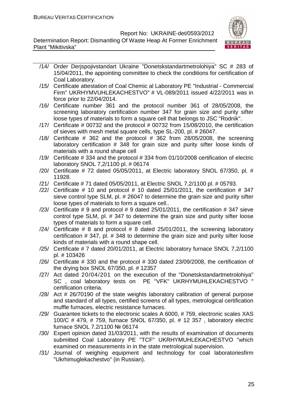

- /14/ Order Derjspojivstandart Ukraine "Donetskstandartmetrolohiya" SC # 283 of 15/04/2011, the appointing committee to check the conditions for certification of Coal Laboratory.
- /15/ Certificate attestation of Coal Chemic al Laboratory PE "Industrial Commercial Firm" UKRHYMVUHLEKACHESTVO" # VL-089/2011 issued 4/22/2011 was in force prior to 22/04/2014.
- /16/ Certificate number 361 and the protocol number 361 of 28/05/2008, the screening laboratory certification number 347 for grain size and purity sifter loose types of materials to form a square cell that belongs to JSC "Rodnik".
- /17/ Certificate # 00732 and the protocol # 00732 from 15/08/2010, the certification of sieves with mesh metal square cells, type SL-200, pl. # 26047.
- /18/ Certificate  $\#$  362 and the protocol  $\#$  362 from 28/05/2008, the screening laboratory certification # 348 for grain size and purity sifter loose kinds of materials with a round shape cell
- /19/ Certificate # 334 and the protocol # 334 from 01/10/2008 certification of electric laboratory SNOL 7,2/1100 pl. # 06174
- $/20/$  Certificate  $# 72$  dated 05/05/2011, at Electric laboratory SNOL 67/350, pl.  $# 20/20$ 11928.
- /21/ Certificate # 71 dated 05/05/2011, at Electric SNOL 7,2/1100 pl. # 05793.
- $\frac{1}{22}$  Certificate # 10 and protocol # 10 dated 25/01/2011, the certification # 347 sieve control type SLM, pl. # 26047 to determine the grain size and purity sifter loose types of materials to form a square cell..
- $/23/$  Certificate # 9 and protocol # 9 dated 25/01/2011, the certification # 347 sieve control type SLM, pl. # 347 to determine the grain size and purity sifter loose types of materials to form a square cell.
- /24/ Certificate  $# 8$  and protocol  $# 8$  dated 25/01/2011, the screening laboratory certification # 347, pl. # 348 to determine the grain size and purity sifter loose kinds of materials with a round shape cell.
- /25/ Certificate # 7 dated 20/01/2011, at Electric laboratory furnace SNOL 7,2/1100 pl. # 103426
- /26/ Certificate # 330 and the protocol # 330 dated 23/09/2008, the certification of the drying box SNOL 67/350, pl. # 12357
- /27/ Act dated 20/04/201 on the execution of the "Donetskstandartmetrolohiya" SC , coal laboratory tests on PE "VFK" UKRHYMUHLEKACHESTVO " certification criteria.
- /28/ Act # 26/70190 of the state weights laboratory calibration of general purpose and standard of all types, certified screens of all types, metrological certification muffle furnaces, electric resistance furnaces.
- /29/ Guarantee tickets to the electronic scales A 6000, # 759, electronic scales XAS 100/C # 479, # 759, furnace SNOL 67/350, pl. # 12 357 , laboratory electric furnace SNOL 7.2/1100 № 06174
- /30/ Expert opinion dated 31/03/2011, with the results of examination of documents submitted Coal Laboratory PE "TCF" UKRHYMUHLEKACHESTVO "which examined on measurements in in the state metrological supervision.
- /31/ Journal of weighing equipment and technology for coal laboratoriesfirm "Ukrhimuglekachestvo" (in Russian).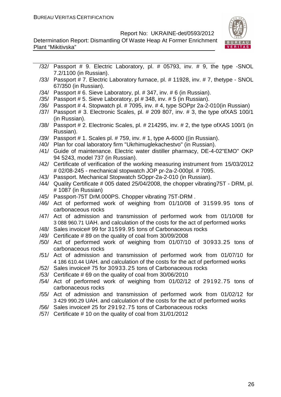

- /32/ Passport # 9. Electric Laboratory, pl. # 05793, inv. # 9, the type -SNOL 7.2/1100 (in Russian).
- /33/ Passport # 7. Electric Laboratory furnace, pl. # 11928, inv. # 7, thetype SNOL 67/350 (in Russian).
- /34/ Passport # 6. Sieve Laboratory, pl. # 347, inv. # 6 (in Russian).
- /35/ Passport # 5. Sieve Laboratory, pl # 348, inv. # 5 (in Russian).
- /36/ Passport # 4. Stopwatch pl. # 7095, inv. # 4, type SOPpr 2a-2-010(in Russian)
- /37/ Passport # 3. Electronic Scales, pl. # 209 807, inv. # 3, the type ofXAS 100/1 (in Russian).
- /38/ Passport # 2. Electronic Scales, pl. # 214295, inv. # 2, the type ofXAS 100/1 (in Russian).
- /39/ Passport # 1. Scales pl. # 759, inv. # 1, type A-6000 ((in Russian).
- /40/ Plan for coal laboratory firm "Ukrhimuglekachestvo" (in Russian).
- /41/ Guide of maintenance. Electric water distiller pharmacy, DE-4-02"EMO" OKP 94 5243, model 737 (in Russian).
- /42/ Certificate of verification of the working measuring instrument from 15/03/2012 # 02/08-245 - mechanical stopwatch JOP pr-2a-2-000pl. # 7095.
- /43/ Passport. Mechanical Stopwatch SOppr-2a-2-010 (in Russian).
- /44/ Quality Certificate # 005 dated 25/04/2008, the chopper vibrating75T DRM, pl. # 1087 (in Russian)
- /45/ Passport-75T DrM.000PS. Chopper vibrating 75T-DRM .
- /46/ Act of performed work of weighing from 01/10/08 of 31599.95 tons of carbonaceous rocks
- /47/ Act of admission and transmission of performed work from 01/10/08 for 3 088 960.71 UAH. and calculation of the costs for the act of performed works
- /48/ Sales invoice# 99 for 31599.95 tons of Carbonaceous rocks
- /49/ Certificate # 89 on the quality of coal from 30/09/2008
- /50/ Act of performed work of weighing from 01/07/10 of 30933.25 tons of carbonaceous rocks
- /51/ Act of admission and transmission of performed work from 01/07/10 for 4 186 610.44 UAH. and calculation of the costs for the act of performed works
- /52/ Sales invoice# 75 for 30933.25 tons of Carbonaceous rocks
- /53/ Certificate # 69 on the quality of coal from 30/06/2010
- /54/ Act of performed work of weighing from 01/02/12 of 29192.75 tons of carbonaceous rocks
- /55/ Act of admission and transmission of performed work from 01/02/12 for 3 429 990.29 UAH. and calculation of the costs for the act of performed works
- /56/ Sales invoice# 25 for 29192.75 tons of Carbonaceous rocks
- /57/ Certificate # 10 on the quality of coal from 31/01/2012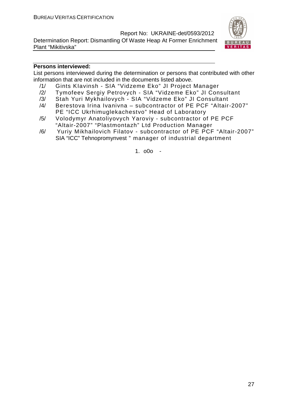Determination Report: Dismantling Of Waste Heap At Former Enrichment Plant "Mikitivska"



#### **Persons interviewed:**

List persons interviewed during the determination or persons that contributed with other information that are not included in the documents listed above.

- /1/ Gints KIavinsh SIA "Vidzeme Eko" JI Project Manager
- /2/ Tymofeev Sergiy Petrovych SIA "Vidzeme Eko" JI Consultant
- /3/ Stah Yuri Mykhailovych SIA "Vidzeme Eko" JI Consultant
- /4/ Berestova Irina Ivanivna subcontractor of PE PCF "Altair-2007" PE "ICC Ukrhimuglekachestvo" Head of Laboratory
- /5/ Volodymyr Anatoliyovych Yaroviy subcontractor of PE PCF "Altair-2007" "Plastmontazh" Ltd Production Manager
- /6/ Yuriy Mikhailovich Filatov subcontractor of PE PCF "Altair-2007" SIA "ICC" Tehnopromynvest " manager of industrial department

1. o0o -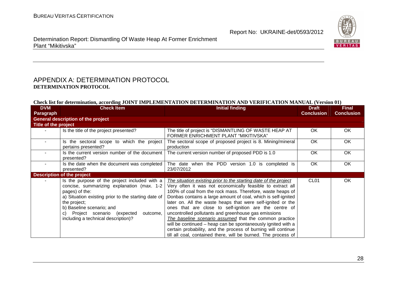

Determination Report: Dismantling Of Waste Heap At Former Enrichment Plant "Mikitivska"

#### APPENDIX A: DETERMINATION PROTOCOL **DETERMINATION PROTOCOL**

#### **Check list for determination, according JOINT IMPLEMENTATION DETERMINATION AND VERIFICATION MANUAL (Version 01)**

| <b>DVM</b>           | <b>Check Item</b>                                                                                                                                                                                                                                                                                      | <b>Initial finding</b>                                                                                                                                                                                                                                                                                                                                                                                                                                                                                                                                                                                                                                                                                      | <b>Draft</b>      | <b>Final</b>      |
|----------------------|--------------------------------------------------------------------------------------------------------------------------------------------------------------------------------------------------------------------------------------------------------------------------------------------------------|-------------------------------------------------------------------------------------------------------------------------------------------------------------------------------------------------------------------------------------------------------------------------------------------------------------------------------------------------------------------------------------------------------------------------------------------------------------------------------------------------------------------------------------------------------------------------------------------------------------------------------------------------------------------------------------------------------------|-------------------|-------------------|
| <b>Paragraph</b>     |                                                                                                                                                                                                                                                                                                        |                                                                                                                                                                                                                                                                                                                                                                                                                                                                                                                                                                                                                                                                                                             | <b>Conclusion</b> | <b>Conclusion</b> |
|                      | <b>General description of the project</b>                                                                                                                                                                                                                                                              |                                                                                                                                                                                                                                                                                                                                                                                                                                                                                                                                                                                                                                                                                                             |                   |                   |
| Title of the project |                                                                                                                                                                                                                                                                                                        |                                                                                                                                                                                                                                                                                                                                                                                                                                                                                                                                                                                                                                                                                                             |                   |                   |
|                      | Is the title of the project presented?                                                                                                                                                                                                                                                                 | The title of project is "DISMANTLING OF WASTE HEAP AT<br>FORMER ENRICHMENT PLANT "MIKITIVSKA"                                                                                                                                                                                                                                                                                                                                                                                                                                                                                                                                                                                                               | OK.               | <b>OK</b>         |
|                      | Is the sectoral scope to which the project<br>pertains presented?                                                                                                                                                                                                                                      | The sectoral scope of proposed project is 8. Mining/mineral<br>production                                                                                                                                                                                                                                                                                                                                                                                                                                                                                                                                                                                                                                   | <b>OK</b>         | <b>OK</b>         |
|                      | Is the current version number of the document<br>presented?                                                                                                                                                                                                                                            | The current version number of proposed PDD is 1.0                                                                                                                                                                                                                                                                                                                                                                                                                                                                                                                                                                                                                                                           | <b>OK</b>         | <b>OK</b>         |
|                      | Is the date when the document was completed<br>presented?                                                                                                                                                                                                                                              | The date when the PDD version 1.0 is completed is<br>23/07/2012                                                                                                                                                                                                                                                                                                                                                                                                                                                                                                                                                                                                                                             | <b>OK</b>         | <b>OK</b>         |
|                      | <b>Description of the project</b>                                                                                                                                                                                                                                                                      |                                                                                                                                                                                                                                                                                                                                                                                                                                                                                                                                                                                                                                                                                                             |                   |                   |
|                      | Is the purpose of the project included with a<br>concise, summarizing explanation (max. 1-2)<br>pages) of the:<br>a) Situation existing prior to the starting date of<br>the project;<br>b) Baseline scenario; and<br>c) Project scenario (expected<br>outcome,<br>including a technical description)? | The situation existing prior to the starting date of the project<br>Very often it was not economically feasible to extract all<br>100% of coal from the rock mass. Therefore, waste heaps of<br>Donbas contains a large amount of coal, which is self-ignited<br>later on. All the waste heaps that were self-ignited or the<br>ones that are close to self-ignition are the centre of<br>uncontrolled pollutants and greenhouse gas emissions<br>The baseline scenario assumed that the common practice<br>will be continued – heap can be spontaneously ignited with a<br>certain probability, and the process of burning will continue<br>till all coal, contained there, will be burned. The process of | CL <sub>01</sub>  | OK.               |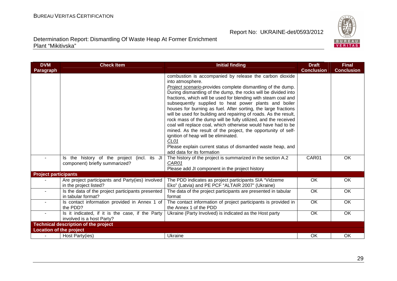

| <b>DVM</b>                     | <b>Check Item</b>                                                             | <b>Initial finding</b>                                                                                                                                                                                                                                                                                                                                                                                                                                                                                                                                                                                                                                                                                                                                                                                                        | <b>Draft</b>      | <b>Final</b>      |
|--------------------------------|-------------------------------------------------------------------------------|-------------------------------------------------------------------------------------------------------------------------------------------------------------------------------------------------------------------------------------------------------------------------------------------------------------------------------------------------------------------------------------------------------------------------------------------------------------------------------------------------------------------------------------------------------------------------------------------------------------------------------------------------------------------------------------------------------------------------------------------------------------------------------------------------------------------------------|-------------------|-------------------|
| Paragraph                      |                                                                               |                                                                                                                                                                                                                                                                                                                                                                                                                                                                                                                                                                                                                                                                                                                                                                                                                               | <b>Conclusion</b> | <b>Conclusion</b> |
|                                |                                                                               | combustion is accompanied by release the carbon dioxide<br>into atmosphere.<br>Project scenario-provides complete dismantling of the dump.<br>During dismantling of the dump, the rocks will be divided into<br>fractions, which will be used for blending with steam coal and<br>subsequently supplied to heat power plants and boiler<br>houses for burning as fuel. After sorting, the large fractions<br>will be used for building and repairing of roads. As the result,<br>rock mass of the dump will be fully utilized, and the received<br>coal will replace coal, which otherwise would have had to be<br>mined. As the result of the project, the opportunity of self-<br>ignition of heap will be eliminated.<br>CL01<br>Please explain current status of dismantled waste heap, and<br>add data for its formation |                   |                   |
|                                | Is the history of the project (incl. its JI<br>component) briefly summarized? | The history of the project is summarized in the section A.2<br>CAR01<br>Please add JI component in the project history                                                                                                                                                                                                                                                                                                                                                                                                                                                                                                                                                                                                                                                                                                        | CAR01             | <b>OK</b>         |
| <b>Project participants</b>    |                                                                               |                                                                                                                                                                                                                                                                                                                                                                                                                                                                                                                                                                                                                                                                                                                                                                                                                               |                   |                   |
|                                | Are project participants and Party(ies) involved<br>in the project listed?    | The PDD indicates as project participants SIA "Vidzeme<br>Eko" (Latvia) and PE PCF "ALTAIR 2007" (Ukraine)                                                                                                                                                                                                                                                                                                                                                                                                                                                                                                                                                                                                                                                                                                                    | OK                | OK                |
|                                | Is the data of the project participants presented<br>in tabular format?       | The data of the project participants are presented in tabular<br>format                                                                                                                                                                                                                                                                                                                                                                                                                                                                                                                                                                                                                                                                                                                                                       | OK                | OK                |
| $\blacksquare$                 | Is contact information provided in Annex 1 of<br>the PDD?                     | The contact information of project participants is provided in<br>the Annex 1 of the PDD                                                                                                                                                                                                                                                                                                                                                                                                                                                                                                                                                                                                                                                                                                                                      | OK                | OK                |
| $\blacksquare$                 | Is it indicated, if it is the case, if the Party<br>involved is a host Party? | Ukraine (Party Involved) is indicated as the Host party                                                                                                                                                                                                                                                                                                                                                                                                                                                                                                                                                                                                                                                                                                                                                                       | OK                | OK                |
|                                | <b>Technical description of the project</b>                                   |                                                                                                                                                                                                                                                                                                                                                                                                                                                                                                                                                                                                                                                                                                                                                                                                                               |                   |                   |
| <b>Location of the project</b> |                                                                               |                                                                                                                                                                                                                                                                                                                                                                                                                                                                                                                                                                                                                                                                                                                                                                                                                               |                   |                   |
| ÷.                             | Host Party(ies)                                                               | Ukraine                                                                                                                                                                                                                                                                                                                                                                                                                                                                                                                                                                                                                                                                                                                                                                                                                       | OK                | OK                |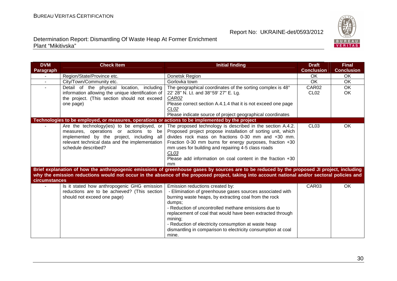

| <b>DVM</b>               | <b>Check Item</b>                                                                                | <b>Initial finding</b>                                                                                                                            | <b>Draft</b>      | <b>Final</b>      |
|--------------------------|--------------------------------------------------------------------------------------------------|---------------------------------------------------------------------------------------------------------------------------------------------------|-------------------|-------------------|
| Paragraph                |                                                                                                  |                                                                                                                                                   | <b>Conclusion</b> | <b>Conclusion</b> |
| $\overline{\phantom{a}}$ | Region/State/Province etc.                                                                       | Donetsk Region                                                                                                                                    | OK                | OK                |
| $\sim$                   | City/Town/Community etc.                                                                         | Gorlovka town                                                                                                                                     | <b>OK</b>         | OK                |
|                          | Detail of the physical location, including                                                       | The geographical coordinates of the sorting complex is 48°                                                                                        | CAR02             | OK                |
|                          | information allowing the unique identification of                                                | 22' 28" N. Lt. and 38°59' 27" E. Lg.                                                                                                              | CL <sub>02</sub>  | OK                |
|                          | the project. (This section should not exceed                                                     | CAR02                                                                                                                                             |                   |                   |
|                          | one page)                                                                                        | Please correct section A.4.1.4 that it is not exceed one page                                                                                     |                   |                   |
|                          |                                                                                                  | CL <sub>02</sub>                                                                                                                                  |                   |                   |
|                          |                                                                                                  | Please indicate source of project geographical coordinates                                                                                        |                   |                   |
|                          | Technologies to be employed, or measures, operations or actions to be implemented by the project |                                                                                                                                                   |                   |                   |
|                          | Are the technology(ies) to be employed, or                                                       | The proposed technology is described in the section A.4.2.                                                                                        | CL <sub>03</sub>  | OK                |
|                          | measures, operations or actions to be                                                            | Proposed project propose installation of sorting unit, which                                                                                      |                   |                   |
|                          | implemented by the project, including all                                                        | divides rock mass on fractions 0-30 mm and +30 mm.                                                                                                |                   |                   |
|                          | relevant technical data and the implementation                                                   | Fraction 0-30 mm burns for energy purposes, fraction +30                                                                                          |                   |                   |
|                          | schedule described?                                                                              | mm uses for building and repairing 4-5 class roads                                                                                                |                   |                   |
|                          |                                                                                                  | CL <sub>03</sub>                                                                                                                                  |                   |                   |
|                          |                                                                                                  | Please add information on coal content in the fraction +30                                                                                        |                   |                   |
|                          |                                                                                                  | mm<br>Brief explanation of how the anthropogenic emissions of greenhouse gases by sources are to be reduced by the proposed JI project, including |                   |                   |
|                          |                                                                                                  | why the emission reductions would not occur in the absence of the proposed project, taking into account national and/or sectoral policies and     |                   |                   |
| circumstances            |                                                                                                  |                                                                                                                                                   |                   |                   |
|                          | Is it stated how anthropogenic GHG emission                                                      | Emission reductions created by:                                                                                                                   | CAR03             | OK                |
|                          | reductions are to be achieved? (This section                                                     | - Elimination of greenhouse gases sources associated with                                                                                         |                   |                   |
|                          | should not exceed one page)                                                                      | burning waste heaps, by extracting coal from the rock                                                                                             |                   |                   |
|                          |                                                                                                  | dumps;                                                                                                                                            |                   |                   |
|                          |                                                                                                  | - Reduction of uncontrolled methane emissions due to                                                                                              |                   |                   |
|                          |                                                                                                  | replacement of coal that would have been extracted through                                                                                        |                   |                   |
|                          |                                                                                                  | mining;                                                                                                                                           |                   |                   |
|                          |                                                                                                  | - Reduction of electricity consumption at waste heap                                                                                              |                   |                   |
|                          |                                                                                                  | dismantling in comparison to electricity consumption at coal                                                                                      |                   |                   |
|                          |                                                                                                  | mine.                                                                                                                                             |                   |                   |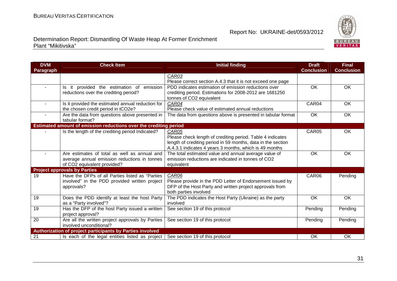

| <b>DVM</b>     | <b>Check Item</b>                                                 | <b>Initial finding</b>                                       | <b>Draft</b>      | <b>Final</b>      |
|----------------|-------------------------------------------------------------------|--------------------------------------------------------------|-------------------|-------------------|
| Paragraph      |                                                                   |                                                              | <b>Conclusion</b> | <b>Conclusion</b> |
|                |                                                                   | CAR03                                                        |                   |                   |
|                |                                                                   | Please correct section A.4.3 that it is not exceed one page  |                   |                   |
| $\blacksquare$ | Is it provided the estimation of emission                         | PDD indicates estimation of emission reductions over         | OK                | OK                |
|                | reductions over the crediting period?                             | crediting period. Estimations for 2008-2012 are 1681250      |                   |                   |
|                |                                                                   | tonnes of CO2 equivalent                                     |                   |                   |
| ٠              | Is it provided the estimated annual reduction for                 | CAR04                                                        | CAR04             | OK                |
|                | the chosen credit period in tCO2e?                                | Please check value of estimated annual reductions            |                   |                   |
|                | Are the data from questions above presented in                    | The data from questions above is presented in tabular format | <b>OK</b>         | OK                |
|                | tabular format?                                                   |                                                              |                   |                   |
|                | Estimated amount of emission reductions over the crediting period |                                                              |                   |                   |
|                | Is the length of the crediting period Indicated?                  | CAR05                                                        | CAR05             | OK                |
|                |                                                                   | Please check length of crediting period. Table 4 indicates   |                   |                   |
|                |                                                                   | length of crediting period in 59 months, data in the section |                   |                   |
|                |                                                                   | A.4.3.1 indicates 4 years 3 months, which is 49 months       |                   |                   |
| $\blacksquare$ | Are estimates of total as well as annual and                      | The total estimated value and annual average value of        | OK                | OK                |
|                | average annual emission reductions in tonnes                      | emission reductions are indicated in tonnes of CO2           |                   |                   |
|                | of CO2 equivalent provided?                                       | equivalent                                                   |                   |                   |
|                | <b>Project approvals by Parties</b>                               |                                                              |                   |                   |
| 19             | Have the DFPs of all Parties listed as "Parties                   | CAR06                                                        | CAR06             | Pending           |
|                | involved" in the PDD provided written project                     | Please provide in the PDD Letter of Endorsement issued by    |                   |                   |
|                | approvals?                                                        | DFP of the Host Party and written project approvals from     |                   |                   |
|                |                                                                   | both parties involved                                        |                   |                   |
| 19             | Does the PDD identify at least the host Party                     | The PDD indicates the Host Party (Ukraine) as the party      | OK                | OK                |
|                | as a "Party involved"?                                            | involved                                                     |                   |                   |
| 19             | Has the DFP of the host Party issued a written                    | See section 19 of this protocol                              | Pending           | Pending           |
|                | project approval?                                                 |                                                              |                   |                   |
| 20             | Are all the written project approvals by Parties                  | See section 19 of this protocol                              | Pending           | Pending           |
|                | involved unconditional?                                           |                                                              |                   |                   |
|                | Authorization of project participants by Parties involved         |                                                              |                   |                   |
| 21             | Is each of the legal entities listed as project                   | See section 19 of this protocol                              | OK                | OK                |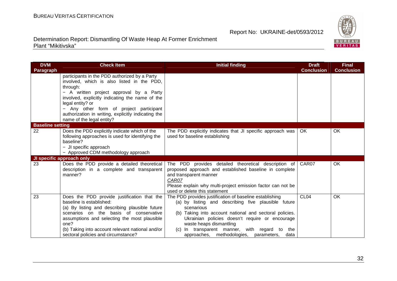

| <b>DVM</b>              | <b>Check Item</b>                                                                                                                                                                                                                                                                                                      | <b>Initial finding</b>                                                                                                                                                                                                                                                                                                                                                   | <b>Draft</b>      | <b>Final</b>      |
|-------------------------|------------------------------------------------------------------------------------------------------------------------------------------------------------------------------------------------------------------------------------------------------------------------------------------------------------------------|--------------------------------------------------------------------------------------------------------------------------------------------------------------------------------------------------------------------------------------------------------------------------------------------------------------------------------------------------------------------------|-------------------|-------------------|
| Paragraph               |                                                                                                                                                                                                                                                                                                                        |                                                                                                                                                                                                                                                                                                                                                                          | <b>Conclusion</b> | <b>Conclusion</b> |
|                         | participants in the PDD authorized by a Party<br>involved, which is also listed in the PDD,<br>through:<br>- A written project approval by a Party<br>involved, explicitly indicating the name of the                                                                                                                  |                                                                                                                                                                                                                                                                                                                                                                          |                   |                   |
|                         | legal entity? or<br>- Any other form of project participant<br>authorization in writing, explicitly indicating the<br>name of the legal entity?                                                                                                                                                                        |                                                                                                                                                                                                                                                                                                                                                                          |                   |                   |
| <b>Baseline setting</b> |                                                                                                                                                                                                                                                                                                                        |                                                                                                                                                                                                                                                                                                                                                                          |                   |                   |
| 22                      | Does the PDD explicitly indicate which of the<br>following approaches is used for identifying the<br>baseline?<br>- JI specific approach                                                                                                                                                                               | The PDD explicitly indicates that JI specific approach was<br>used for baseline establishing                                                                                                                                                                                                                                                                             | OK.               | OK                |
|                         | - Approved CDM methodology approach                                                                                                                                                                                                                                                                                    |                                                                                                                                                                                                                                                                                                                                                                          |                   |                   |
|                         | JI specific approach only                                                                                                                                                                                                                                                                                              |                                                                                                                                                                                                                                                                                                                                                                          |                   |                   |
| 23                      | Does the PDD provide a detailed theoretical<br>description in a complete and transparent<br>manner?                                                                                                                                                                                                                    | The PDD provides detailed theoretical description of<br>proposed approach and established baseline in complete<br>and transparent manner<br>CAR07<br>Please explain why multi-project emission factor can not be<br>used or delete this statement                                                                                                                        | CAR07             | OK                |
| 23                      | Does the PDD provide justification that the<br>baseline is established:<br>(a) By listing and describing plausible future<br>scenarios on the basis of conservative<br>assumptions and selecting the most plausible<br>one?<br>(b) Taking into account relevant national and/or<br>sectoral policies and circumstance? | The PDD provides justification of baseline establishing<br>(a) by listing and describing five plausible future<br>scenarious<br>Taking into account national and sectoral policies.<br>(b)<br>Ukrainian policies doesn't require or encourage<br>waste heaps dismantling<br>(c) In transparent manner, with regard to the<br>approaches, methodologies, parameters, data | CL <sub>04</sub>  | OK                |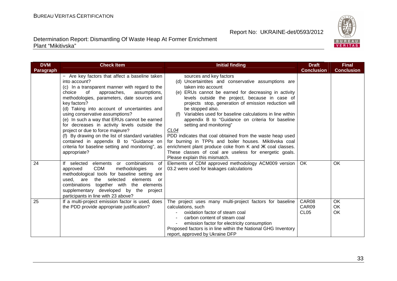

| <b>DVM</b>       | <b>Check Item</b>                                                                                                                                                                                                                                                                                                                                                                                                                                                                                                                                                                                                          | <b>Initial finding</b>                                                                                                                                                                                                                                                                                                                                                                                                                                                                                                                                                                                                                                                                                                                    | <b>Draft</b>                       | <b>Final</b>      |
|------------------|----------------------------------------------------------------------------------------------------------------------------------------------------------------------------------------------------------------------------------------------------------------------------------------------------------------------------------------------------------------------------------------------------------------------------------------------------------------------------------------------------------------------------------------------------------------------------------------------------------------------------|-------------------------------------------------------------------------------------------------------------------------------------------------------------------------------------------------------------------------------------------------------------------------------------------------------------------------------------------------------------------------------------------------------------------------------------------------------------------------------------------------------------------------------------------------------------------------------------------------------------------------------------------------------------------------------------------------------------------------------------------|------------------------------------|-------------------|
| <b>Paragraph</b> |                                                                                                                                                                                                                                                                                                                                                                                                                                                                                                                                                                                                                            |                                                                                                                                                                                                                                                                                                                                                                                                                                                                                                                                                                                                                                                                                                                                           | <b>Conclusion</b>                  | <b>Conclusion</b> |
|                  | - Are key factors that affect a baseline taken<br>into account?<br>(c) In a transparent manner with regard to the<br>choice<br>of<br>approaches,<br>assumptions,<br>methodologies, parameters, date sources and<br>key factors?<br>(d) Taking into account of uncertainties and<br>using conservative assumptions?<br>(e) In such a way that ERUs cannot be earned<br>for decreases in activity levels outside the<br>project or due to force majeure?<br>(f) By drawing on the list of standard variables<br>contained in appendix B to "Guidance on<br>criteria for baseline setting and monitoring", as<br>appropriate? | sources and key factors<br>(d) Uncertaintites and conservative assumptions are<br>taken into account<br>(e) ERUs cannot be earned for decreasing in activity<br>levels outside the project, because in case of<br>projects stop, generation of emission reduction will<br>be stopped also.<br>Variables used for baseline calculations in line within<br>(t)<br>appendix B to "Guidance on criteria for baseline<br>setting and monitoring"<br>CL04<br>PDD indicates that coal obtained from the waste heap used<br>for burning in TPPs and boiler houses. Mikitivska coal<br>enrichment plant produce coke from K and <i>XK</i> coal classes.<br>These classes of coal are useless for energetic goals.<br>Please explain this mismatch. |                                    |                   |
| 24               | elements or combinations<br>If selected<br>of<br>CDM<br>methodologies<br>approved<br>or<br>methodological tools for baseline setting are<br>elements<br>are<br>selected<br>used,<br>the<br>or<br>combinations together with the elements<br>supplementary developed by the project<br>participants in line with 23 above?                                                                                                                                                                                                                                                                                                  | Elements of CDM approved methodology ACM009 version<br>03.2 were used for leakages calculations                                                                                                                                                                                                                                                                                                                                                                                                                                                                                                                                                                                                                                           | OK                                 | OK                |
| 25               | If a multi-project emission factor is used, does<br>the PDD provide appropriate justification?                                                                                                                                                                                                                                                                                                                                                                                                                                                                                                                             | The project uses many multi-project factors for baseline<br>calculations, such<br>oxidation factor of steam coal<br>carbon content of steam coal<br>emission factor for electricity consumption<br>Proposed factors is in line within the National GHG Inventory<br>report, approved by Ukraine DFP                                                                                                                                                                                                                                                                                                                                                                                                                                       | CAR08<br>CAR09<br>CL <sub>05</sub> | OK<br>OK<br>OK    |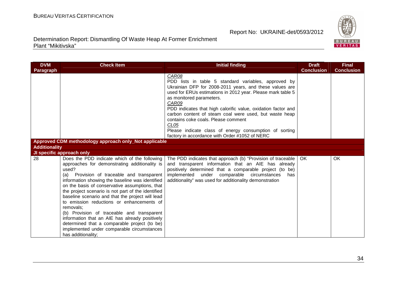

| <b>DVM</b>           | <b>Check Item</b>                                                                                                                                                                                                                                                                                                                                                                                                                                                                                                                                                                                                                                    | <b>Initial finding</b>                                                                                                                                                                                                                                                                                                                                                                                                                                                                                                         | <b>Draft</b>      | <b>Final</b>      |
|----------------------|------------------------------------------------------------------------------------------------------------------------------------------------------------------------------------------------------------------------------------------------------------------------------------------------------------------------------------------------------------------------------------------------------------------------------------------------------------------------------------------------------------------------------------------------------------------------------------------------------------------------------------------------------|--------------------------------------------------------------------------------------------------------------------------------------------------------------------------------------------------------------------------------------------------------------------------------------------------------------------------------------------------------------------------------------------------------------------------------------------------------------------------------------------------------------------------------|-------------------|-------------------|
| Paragraph            |                                                                                                                                                                                                                                                                                                                                                                                                                                                                                                                                                                                                                                                      |                                                                                                                                                                                                                                                                                                                                                                                                                                                                                                                                | <b>Conclusion</b> | <b>Conclusion</b> |
|                      |                                                                                                                                                                                                                                                                                                                                                                                                                                                                                                                                                                                                                                                      | CAR08<br>PDD lists in table 5 standard variables, approved by<br>Ukrainian DFP for 2008-2011 years, and these values are<br>used for ERUs estimations in 2012 year. Please mark table 5<br>as monitored parameters.<br>CAR09<br>PDD indicates that high calorific value, oxidation factor and<br>carbon content of steam coal were used, but waste heap<br>contains coke coals. Please comment<br>CL <sub>05</sub><br>Please indicate class of energy consumption of sorting<br>factory in accordance with Order #1052 of NERC |                   |                   |
|                      | Approved CDM methodology approach only_Not applicable                                                                                                                                                                                                                                                                                                                                                                                                                                                                                                                                                                                                |                                                                                                                                                                                                                                                                                                                                                                                                                                                                                                                                |                   |                   |
| <b>Additionality</b> |                                                                                                                                                                                                                                                                                                                                                                                                                                                                                                                                                                                                                                                      |                                                                                                                                                                                                                                                                                                                                                                                                                                                                                                                                |                   |                   |
|                      | JI specific approach only                                                                                                                                                                                                                                                                                                                                                                                                                                                                                                                                                                                                                            |                                                                                                                                                                                                                                                                                                                                                                                                                                                                                                                                |                   |                   |
| 28                   | Does the PDD indicate which of the following<br>approaches for demonstrating additionality is<br>used?<br>Provision of traceable and transparent<br>(a)<br>information showing the baseline was identified<br>on the basis of conservative assumptions, that<br>the project scenario is not part of the identified<br>baseline scenario and that the project will lead<br>to emission reductions or enhancements of<br>removals:<br>(b) Provision of traceable and transparent<br>information that an AIE has already positively<br>determined that a comparable project (to be)<br>implemented under comparable circumstances<br>has additionality; | The PDD indicates that approach (b) "Provision of traceable  <br>and transparent information that an AIE has already<br>positively determined that a comparable project (to be)<br>implemented under comparable circumstances<br>has<br>additionality" was used for additionality demonstration                                                                                                                                                                                                                                | OK.               | <b>OK</b>         |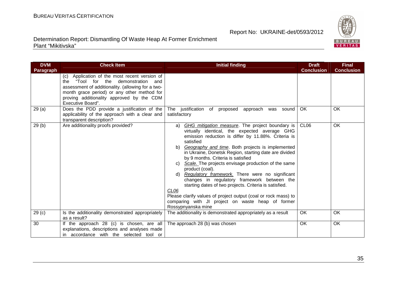

| <b>DVM</b>        | <b>Check Item</b>                                                                                                                                                                                                                                                   | <b>Initial finding</b>                                                                                                                                                                                                                                                                                                                                                                                                                                                                                                                                                                                                                                                                                                                           | <b>Draft</b>      | <b>Final</b>      |
|-------------------|---------------------------------------------------------------------------------------------------------------------------------------------------------------------------------------------------------------------------------------------------------------------|--------------------------------------------------------------------------------------------------------------------------------------------------------------------------------------------------------------------------------------------------------------------------------------------------------------------------------------------------------------------------------------------------------------------------------------------------------------------------------------------------------------------------------------------------------------------------------------------------------------------------------------------------------------------------------------------------------------------------------------------------|-------------------|-------------------|
| Paragraph         |                                                                                                                                                                                                                                                                     |                                                                                                                                                                                                                                                                                                                                                                                                                                                                                                                                                                                                                                                                                                                                                  | <b>Conclusion</b> | <b>Conclusion</b> |
|                   | (c) Application of the most recent version of<br>"Tool for the<br>demonstration<br>the<br>and<br>assessment of additionality. (allowing for a two-<br>month grace period) or any other method for<br>proving additionality approved by the CDM<br>Executive Board". |                                                                                                                                                                                                                                                                                                                                                                                                                                                                                                                                                                                                                                                                                                                                                  |                   |                   |
| 29(a)             | Does the PDD provide a justification of the<br>applicability of the approach with a clear and<br>transparent description?                                                                                                                                           | The justification of proposed<br>approach<br>was sound<br>satisfactory                                                                                                                                                                                                                                                                                                                                                                                                                                                                                                                                                                                                                                                                           | OK.               | OK                |
| 29(b)             | Are additionality proofs provided?                                                                                                                                                                                                                                  | GHG mitigation measure. The project boundary is<br>a)<br>virtually identical, the expected average GHG<br>emission reduction is differ by 11.88%. Criteria is<br>satisfied<br>b) Geography and time. Both projects is implemented<br>in Ukraine, Donetsk Region, starting date are divided<br>by 9 months. Criteria is satisfied<br>Scale. The projects envisage production of the same<br>C)<br>product (coal).<br>d) Regulatory framework. There were no significant<br>changes in regulatory framework between the<br>starting dates of two projects. Criteria is satisfied.<br>CL <sub>06</sub><br>Please clarify values of project output (coal or rock mass) to<br>comparing with JI project on waste heap of former<br>Rossypnyanska mine | CL <sub>06</sub>  | OK                |
| 29 <sub>(c)</sub> | Is the additionality demonstrated appropriately<br>as a result?                                                                                                                                                                                                     | The additionality is demonstrated appropriately as a result                                                                                                                                                                                                                                                                                                                                                                                                                                                                                                                                                                                                                                                                                      | OK                | OK                |
| 30                | If the approach 28 (c) is chosen, are all<br>explanations, descriptions and analyses made<br>in accordance with the selected tool or                                                                                                                                | The approach 28 (b) was chosen                                                                                                                                                                                                                                                                                                                                                                                                                                                                                                                                                                                                                                                                                                                   | <b>OK</b>         | OK                |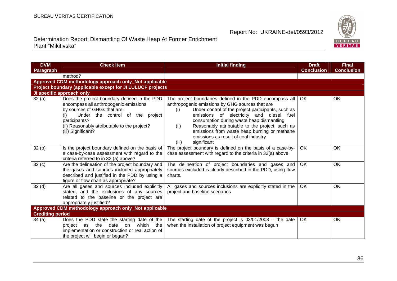

| <b>DVM</b>              | <b>Check Item</b>                                                                                                                                                                                                                                       | <b>Initial finding</b>                                                                                                                                                                                                                                                                                                                                                                                                                      | <b>Draft</b>      | <b>Final</b>      |
|-------------------------|---------------------------------------------------------------------------------------------------------------------------------------------------------------------------------------------------------------------------------------------------------|---------------------------------------------------------------------------------------------------------------------------------------------------------------------------------------------------------------------------------------------------------------------------------------------------------------------------------------------------------------------------------------------------------------------------------------------|-------------------|-------------------|
| Paragraph               |                                                                                                                                                                                                                                                         |                                                                                                                                                                                                                                                                                                                                                                                                                                             | <b>Conclusion</b> | <b>Conclusion</b> |
|                         | method?                                                                                                                                                                                                                                                 |                                                                                                                                                                                                                                                                                                                                                                                                                                             |                   |                   |
|                         | Approved CDM methodology approach only_Not applicable                                                                                                                                                                                                   |                                                                                                                                                                                                                                                                                                                                                                                                                                             |                   |                   |
|                         | Project boundary (applicable except for JI LULUCF projects                                                                                                                                                                                              |                                                                                                                                                                                                                                                                                                                                                                                                                                             |                   |                   |
|                         | JI specific approach only                                                                                                                                                                                                                               |                                                                                                                                                                                                                                                                                                                                                                                                                                             |                   |                   |
| 32(a)                   | Does the project boundary defined in the PDD<br>encompass all anthropogenic emissions<br>by sources of GHGs that are:<br>Under the control of the project<br>(i)<br>participants?<br>(ii) Reasonably attributable to the project?<br>(iii) Significant? | The project boundaries defined in the PDD encompass all<br>anthropogenic emissions by GHG sources that are<br>Under control of the project participants, such as<br>(i)<br>emissions of electricity and diesel fuel<br>consumption during waste heap dismantling<br>Reasonably attributable to the project, such as<br>(ii)<br>emissions from waste heap burning or methane<br>emissions as result of coal industry<br>significant<br>(iii) | OK.               | OK                |
| 32(b)                   | Is the project boundary defined on the basis of<br>a case-by-case assessment with regard to the<br>criteria referred to in 32 (a) above?                                                                                                                | The project boundary is defined on the basis of a case-by-<br>case assessment with regard to the criteria in 32(a) above                                                                                                                                                                                                                                                                                                                    | <b>OK</b>         | <b>OK</b>         |
| 32(c)                   | Are the delineation of the project boundary and<br>the gases and sources included appropriately<br>described and justified in the PDD by using a<br>figure or flow chart as appropriate?                                                                | The delineation of project boundaries and gases and<br>sources excluded is clearly described in the PDD, using flow<br>charts.                                                                                                                                                                                                                                                                                                              | <b>OK</b>         | OK                |
| 32 <sub>(d)</sub>       | Are all gases and sources included explicitly<br>stated, and the exclusions of any sources<br>related to the baseline or the project are<br>appropriately justified?                                                                                    | All gases and sources inclusions are explicitly stated in the<br>project and baseline scenarios                                                                                                                                                                                                                                                                                                                                             | OK                | OK                |
|                         | Approved CDM methodology approach only_Not applicable                                                                                                                                                                                                   |                                                                                                                                                                                                                                                                                                                                                                                                                                             |                   |                   |
| <b>Crediting period</b> |                                                                                                                                                                                                                                                         |                                                                                                                                                                                                                                                                                                                                                                                                                                             |                   |                   |
| 34 (a)                  | Does the PDD state the starting date of the<br>which the<br>the<br>date<br>on<br>project as<br>implementation or construction or real action of<br>the project will begin or began?                                                                     | The starting date of the project is $03/01/2008$ – the date<br>when the installation of project equipment was begun                                                                                                                                                                                                                                                                                                                         | <b>OK</b>         | OK                |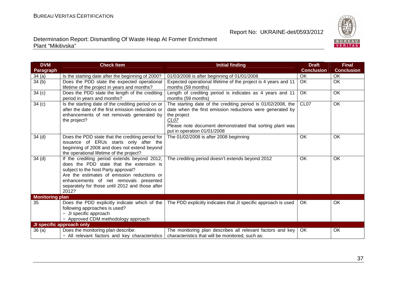

| <b>DVM</b><br>Paragraph | <b>Check Item</b>                                                                                                                                                                                                                                                                    | <b>Initial finding</b>                                                                                                                                                                                                                      | <b>Draft</b><br><b>Conclusion</b> | <b>Final</b><br><b>Conclusion</b> |
|-------------------------|--------------------------------------------------------------------------------------------------------------------------------------------------------------------------------------------------------------------------------------------------------------------------------------|---------------------------------------------------------------------------------------------------------------------------------------------------------------------------------------------------------------------------------------------|-----------------------------------|-----------------------------------|
| 34(a)                   | Is the starting date after the beginning of 2000?                                                                                                                                                                                                                                    | 01/03/2008 is after beginning of 01/01/2008                                                                                                                                                                                                 | <b>OK</b>                         | OK                                |
| 34(b)                   | Does the PDD state the expected operational<br>lifetime of the project in years and months?                                                                                                                                                                                          | Expected operational lifetime of the project is 4 years and 11<br>months (59 months)                                                                                                                                                        | $\overline{OK}$                   | <b>OK</b>                         |
| 34(c)                   | Does the PDD state the length of the crediting<br>period in years and months?                                                                                                                                                                                                        | Length of crediting period is indicates as 4 years and 11<br>months (59 months)                                                                                                                                                             | <b>OK</b>                         | OK                                |
| 34 <sub>(c)</sub>       | Is the starting date of the crediting period on or<br>after the date of the first emission reductions or<br>enhancements of net removals generated by<br>the project?                                                                                                                | The starting date of the crediting period is 01/02/2008, the<br>date when the first emission reductions were generated by<br>the project<br>CL07<br>Please note document demonstrated that sorting plant was<br>put in operation 01/01/2008 | CL <sub>07</sub>                  | <b>OK</b>                         |
| 34 <sub>(d)</sub>       | Does the PDD state that the crediting period for<br>issuance of ERUs starts only after the<br>beginning of 2008 and does not extend beyond<br>the operational lifetime of the project?                                                                                               | The 01/02/2008 is after 2008 beginning                                                                                                                                                                                                      | <b>OK</b>                         | OK                                |
| 34 <sub>(d)</sub>       | If the crediting period extends beyond 2012,<br>does the PDD state that the extension is<br>subject to the host Party approval?<br>Are the estimates of emission reductions or<br>enhancements of net removals presented<br>separately for those until 2012 and those after<br>2012? | The crediting period doesn't extends beyond 2012                                                                                                                                                                                            | OK                                | OK                                |
| <b>Monitoring plan</b>  |                                                                                                                                                                                                                                                                                      |                                                                                                                                                                                                                                             |                                   |                                   |
| 35                      | Does the PDD explicitly indicate which of the<br>following approaches is used?<br>- JI specific approach<br>- Approved CDM methodology approach                                                                                                                                      | The PDD explicitly indicates that JI specific approach is used                                                                                                                                                                              | OK.                               | OK                                |
|                         | JI specific approach only                                                                                                                                                                                                                                                            |                                                                                                                                                                                                                                             |                                   |                                   |
| 36(a)                   | Does the monitoring plan describe:<br>- All relevant factors and key characteristics                                                                                                                                                                                                 | The monitoring plan describes all relevant factors and key<br>characteristics that will be monitored, such as:                                                                                                                              | OK.                               | OK                                |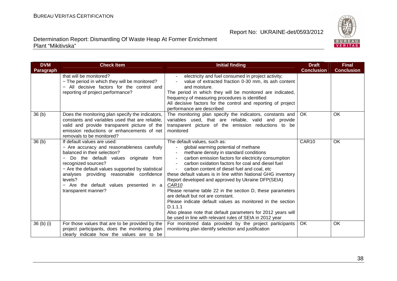38

#### Report No: UKRAINE-det/0593/2012

| Determination Report: Dismantling Of Waste Heap At Former Enrichment |  |
|----------------------------------------------------------------------|--|
| Plant "Mikitivska"                                                   |  |

| <b>DVM</b>                       | <b>Check Item</b>                                                                                                                                                                                                                                                                                                                                       | <b>Initial finding</b>                                                                                                                                                                                                                                                                                                                                                                                                                                                                                                                                                                                                                                                                                                                                                    | <b>Draft</b>      | <b>Final</b>      |
|----------------------------------|---------------------------------------------------------------------------------------------------------------------------------------------------------------------------------------------------------------------------------------------------------------------------------------------------------------------------------------------------------|---------------------------------------------------------------------------------------------------------------------------------------------------------------------------------------------------------------------------------------------------------------------------------------------------------------------------------------------------------------------------------------------------------------------------------------------------------------------------------------------------------------------------------------------------------------------------------------------------------------------------------------------------------------------------------------------------------------------------------------------------------------------------|-------------------|-------------------|
| Paragraph                        |                                                                                                                                                                                                                                                                                                                                                         |                                                                                                                                                                                                                                                                                                                                                                                                                                                                                                                                                                                                                                                                                                                                                                           | <b>Conclusion</b> | <b>Conclusion</b> |
|                                  | that will be monitored?<br>- The period in which they will be monitored?<br>- All decisive factors for the control and<br>reporting of project performance?                                                                                                                                                                                             | electricity and fuel consumed in project activity;<br>value of extracted fraction 0-30 mm, its ash content<br>and moisture.<br>The period in which they will be monitored are indicated,<br>frequency of measuring procedures is identified<br>All decisive factors for the control and reporting of project<br>performance are described                                                                                                                                                                                                                                                                                                                                                                                                                                 |                   |                   |
| 36 <sub>(b)</sub>                | Does the monitoring plan specify the indicators,<br>constants and variables used that are reliable,<br>valid and provide transparent picture of the<br>emission reductions or enhancements of net<br>removals to be monitored?                                                                                                                          | The monitoring plan specify the indicators, constants and<br>variables used, that are reliable, valid and provide<br>transparent picture of the emission reductions to be<br>monitored                                                                                                                                                                                                                                                                                                                                                                                                                                                                                                                                                                                    | OK.               | OK                |
| 36 <sub>(b)</sub>                | If default values are used:<br>- Are accuracy and reasonableness carefully<br>balanced in their selection?<br>Do the default values originate from<br>recognized sources?<br>- Are the default values supported by statistical<br>analyses providing reasonable confidence<br>levels?<br>- Are the default values presented in a<br>transparent manner? | The default values, such as:<br>global warming potential of methane<br>methane density in standard conditions<br>carbon emission factors for electricity consumption<br>$\overline{\phantom{a}}$<br>carbon oxidation factors for coal and diesel fuel<br>carbon content of diesel fuel and coal, etc<br>$\blacksquare$<br>these default values is in line within National GHG inventory<br>Report developed and approved by Ukraine DFP(SEIA)<br>CAR <sub>10</sub><br>Please rename table 22 in the section D, these parameters<br>are default but not are constant.<br>Please indicate default values as monitored in the section<br>D.1.1.1<br>Also please note that default parameters for 2012 years will<br>be used in line with relevant rules of SEIA in 2012 year | CAR10             | <b>OK</b>         |
| 36 <sub>(b)</sub> <sub>(i)</sub> | For those values that are to be provided by the<br>project participants, does the monitoring plan<br>clearly indicate how the values are to be                                                                                                                                                                                                          | For monitored data provided by the project participants<br>monitoring plan identify selection and justification                                                                                                                                                                                                                                                                                                                                                                                                                                                                                                                                                                                                                                                           | <b>OK</b>         | OK                |

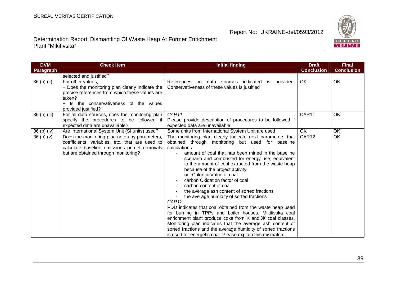

| <b>DVM</b>                       | <b>Check Item</b>                                                                                                                                                                                  | <b>Initial finding</b>                                                                                                                                                                                                                                                                                                                                                                                                                                                                                                                                                                                                                                                                                                                                                                                                                                                                                             | <b>Draft</b>      | <b>Final</b>      |
|----------------------------------|----------------------------------------------------------------------------------------------------------------------------------------------------------------------------------------------------|--------------------------------------------------------------------------------------------------------------------------------------------------------------------------------------------------------------------------------------------------------------------------------------------------------------------------------------------------------------------------------------------------------------------------------------------------------------------------------------------------------------------------------------------------------------------------------------------------------------------------------------------------------------------------------------------------------------------------------------------------------------------------------------------------------------------------------------------------------------------------------------------------------------------|-------------------|-------------------|
| <b>Paragraph</b>                 |                                                                                                                                                                                                    |                                                                                                                                                                                                                                                                                                                                                                                                                                                                                                                                                                                                                                                                                                                                                                                                                                                                                                                    | <b>Conclusion</b> | <b>Conclusion</b> |
|                                  | selected and justified?                                                                                                                                                                            |                                                                                                                                                                                                                                                                                                                                                                                                                                                                                                                                                                                                                                                                                                                                                                                                                                                                                                                    |                   |                   |
| 36 (b) (ii)                      | For other values,<br>- Does the monitoring plan clearly indicate the<br>precise references from which these values are<br>taken?<br>- Is the conservativeness of the values<br>provided justified? | References on<br>provided.<br>data sources<br>indicated<br>is<br>Conservativeness of these values is justified                                                                                                                                                                                                                                                                                                                                                                                                                                                                                                                                                                                                                                                                                                                                                                                                     | OK                | OK                |
| 36 (b) (iii)                     | For all data sources, does the monitoring plan<br>specify the procedures to be followed if<br>expected data are unavailable?                                                                       | CAR11<br>Please provide description of procedures to be followed if<br>expected data are unavailable                                                                                                                                                                                                                                                                                                                                                                                                                                                                                                                                                                                                                                                                                                                                                                                                               | CAR11             | OK                |
| 36 (b) (iv)                      | Are International System Unit (SI units) used?                                                                                                                                                     | Some units from International System Unit are used                                                                                                                                                                                                                                                                                                                                                                                                                                                                                                                                                                                                                                                                                                                                                                                                                                                                 | <b>OK</b>         | OK                |
| 36 <sub>(b)</sub> <sub>(v)</sub> | Does the monitoring plan note any parameters,<br>coefficients, variables, etc. that are used to<br>calculate baseline emissions or net removals<br>but are obtained through monitoring?            | The monitoring plan clearly indicate next parameters that<br>obtained through monitoring but used for baseline<br>calculations:<br>amount of coal that has been mined in the baseline<br>scenario and combusted for energy use, equivalent<br>to the amount of coal extracted from the waste heap<br>because of the project activity<br>net Calorific Value of coal<br>carbon Oxidation factor of coal<br>carbon content of coal<br>the average ash content of sorted fractions<br>the average humidity of sorted fractions<br>CAR12<br>PDD indicates that coal obtained from the waste heap used<br>for burning in TPPs and boiler houses. Mikitivska coal<br>enrichment plant produce coke from K and X coal classes.<br>Monitoring plan indicates that the average ash content of<br>sorted fractions and the average humidity of sorted fractions<br>is used for energetic coal. Please explain this mismatch. | CAR12             | OK                |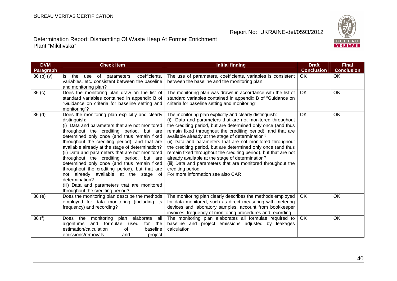

| <b>DVM</b><br>Paragraph          | <b>Check Item</b>                                                                                                                                                                                                                                                                                                                                                                                                                                                                                                                                                                                                                                                 | <b>Initial finding</b>                                                                                                                                                                                                                                                                                                                                                                                                                                                                                                                                                                                                                                                                | <b>Draft</b><br><b>Conclusion</b> | <b>Final</b><br><b>Conclusion</b> |
|----------------------------------|-------------------------------------------------------------------------------------------------------------------------------------------------------------------------------------------------------------------------------------------------------------------------------------------------------------------------------------------------------------------------------------------------------------------------------------------------------------------------------------------------------------------------------------------------------------------------------------------------------------------------------------------------------------------|---------------------------------------------------------------------------------------------------------------------------------------------------------------------------------------------------------------------------------------------------------------------------------------------------------------------------------------------------------------------------------------------------------------------------------------------------------------------------------------------------------------------------------------------------------------------------------------------------------------------------------------------------------------------------------------|-----------------------------------|-----------------------------------|
| 36 <sub>(b)</sub> <sub>(v)</sub> | Is the use of parameters, coefficients,<br>variables, etc. consistent between the baseline<br>and monitoring plan?                                                                                                                                                                                                                                                                                                                                                                                                                                                                                                                                                | The use of parameters, coefficients, variables is consistent<br>between the baseline and the monitoring plan                                                                                                                                                                                                                                                                                                                                                                                                                                                                                                                                                                          | OK.                               | OK                                |
| 36 <sub>(c)</sub>                | Does the monitoring plan draw on the list of<br>standard variables contained in appendix B of<br>"Guidance on criteria for baseline setting and<br>monitoring"?                                                                                                                                                                                                                                                                                                                                                                                                                                                                                                   | The monitoring plan was drawn in accordance with the list of<br>standard variables contained in appendix B of "Guidance on<br>criteria for baseline setting and monitoring"                                                                                                                                                                                                                                                                                                                                                                                                                                                                                                           | OK.                               | <b>OK</b>                         |
| 36 <sub>(d)</sub>                | Does the monitoring plan explicitly and clearly<br>distinguish:<br>(i) Data and parameters that are not monitored<br>throughout the crediting period, but are<br>determined only once (and thus remain fixed<br>throughout the crediting period), and that are<br>available already at the stage of determination?<br>(ii) Data and parameters that are not monitored<br>throughout the crediting period, but are<br>determined only once (and thus remain fixed<br>throughout the crediting period), but that are<br>not already available at the stage of<br>determination?<br>(iii) Data and parameters that are monitored<br>throughout the crediting period? | The monitoring plan explicitly and clearly distinguish:<br>(i) Data and parameters that are not monitored throughout<br>the crediting period, but are determined only once (and thus<br>remain fixed throughout the crediting period), and that are<br>available already at the stage of determination?<br>(ii) Data and parameters that are not monitored throughout<br>the crediting period, but are determined only once (and thus<br>remain fixed throughout the crediting period), but that are not<br>already available at the stage of determination?<br>(iii) Data and parameters that are monitored throughout the<br>crediting period.<br>For more information see also CAR | <b>OK</b>                         | <b>OK</b>                         |
| 36(e)                            | Does the monitoring plan describe the methods<br>employed for data monitoring (including its<br>frequency) and recording?                                                                                                                                                                                                                                                                                                                                                                                                                                                                                                                                         | The monitoring plan clearly describes the methods employed<br>for data monitored, such as direct measuring with metering<br>devices and laboratory samples, account from bookkeeper<br>invoices; frequency of monitoring procedures and recording                                                                                                                                                                                                                                                                                                                                                                                                                                     | OK.                               | <b>OK</b>                         |
| 36(f)                            | Does the<br>monitoring<br>plan elaborate all<br>algorithms and formulae used<br>for the<br>estimation/calculation<br>of<br>baseline<br>emissions/removals<br>project<br>and                                                                                                                                                                                                                                                                                                                                                                                                                                                                                       | The monitoring plan elaborates all formulae required to<br>baseline and project emissions adjusted by leakages<br>calculation                                                                                                                                                                                                                                                                                                                                                                                                                                                                                                                                                         | OK.                               | OK                                |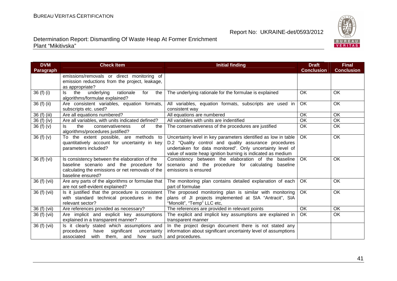

| <b>DVM</b>       | <b>Check Item</b>                                                                                                                                                 | <b>Initial finding</b>                                                                                                                                                                                                                              | <b>Draft</b>      | <b>Final</b>      |
|------------------|-------------------------------------------------------------------------------------------------------------------------------------------------------------------|-----------------------------------------------------------------------------------------------------------------------------------------------------------------------------------------------------------------------------------------------------|-------------------|-------------------|
| <b>Paragraph</b> |                                                                                                                                                                   |                                                                                                                                                                                                                                                     | <b>Conclusion</b> | <b>Conclusion</b> |
|                  | emissions/removals or direct monitoring of<br>emission reductions from the project, leakage,<br>as appropriate?                                                   |                                                                                                                                                                                                                                                     |                   |                   |
| 36 (f) (i)       | underlying<br>the<br>rationale<br>for<br>the<br>ls<br>algorithms/formulae explained?                                                                              | The underlying rationale for the formulae is explained                                                                                                                                                                                              | OK                | OK                |
| $36(f)$ (ii)     | Are consistent variables, equation formats,<br>subscripts etc. used?                                                                                              | All variables, equation formats, subscripts are used in<br>consistent way                                                                                                                                                                           | OK                | OK                |
| 36 (f) (iii)     | Are all equations numbered?                                                                                                                                       | All equations are numbered                                                                                                                                                                                                                          | OK                | OK                |
| 36 (f) (iv)      | Are all variables, with units indicated defined?                                                                                                                  | All variables with units are indentified                                                                                                                                                                                                            | OK                | OK                |
| 36(f)(v)         | the<br>conservativeness<br><sub>of</sub><br>the<br>algorithms/procedures justified?                                                                               | The conservativeness of the procedures are justified                                                                                                                                                                                                | OK                | OK                |
| 36(f)(v)         | To the extent possible, are methods to<br>quantitatively account for uncertainty in key<br>parameters included?                                                   | Uncertainty level in key parameters identified as low in table<br>D.2 "Quality control and quality assurance procedures<br>undertaken for data monitored". Only uncertainty level of<br>value of waste heap ignition burning is indicated as medium | <b>OK</b>         | OK                |
| 36 (f) (vi)      | Is consistency between the elaboration of the<br>baseline scenario and the procedure for<br>calculating the emissions or net removals of the<br>baseline ensured? | Consistency between the elaboration of the baseline<br>scenario and the procedure for calculating baseline<br>emissions is ensured                                                                                                                  | <b>OK</b>         | OK                |
| 36 (f) (vii)     | Are any parts of the algorithms or formulae that<br>are not self-evident explained?                                                                               | The monitoring plan contains detailed explanation of each<br>part of formulae                                                                                                                                                                       | <b>OK</b>         | <b>OK</b>         |
| $36(f)$ (vii)    | Is it justified that the procedure is consistent<br>with standard technical procedures in the<br>relevant sector?                                                 | The proposed monitoring plan is similar with monitoring<br>plans of JI projects implemented at SIA "Antracit", SIA<br>"Monolit", "Temp" LLC etc,                                                                                                    | $\overline{OK}$   | OK                |
| 36 (f) (vii)     | Are references provided as necessary?                                                                                                                             | The references are provided in relevant points                                                                                                                                                                                                      | OK                | OK                |
| 36 (f) (vii)     | Are implicit and explicit key assumptions<br>explained in a transparent manner?                                                                                   | The explicit and implicit key assumptions are explained in<br>transparent manner                                                                                                                                                                    | OK                | OK                |
| 36 (f) (vii)     | Is it clearly stated which assumptions and<br>significant<br>procedures<br>have<br>uncertainty<br>associated<br>with them, and<br>how such                        | In the project design document there is not stated any<br>information about significant uncertainty level of assumptions<br>and procedures.                                                                                                         |                   |                   |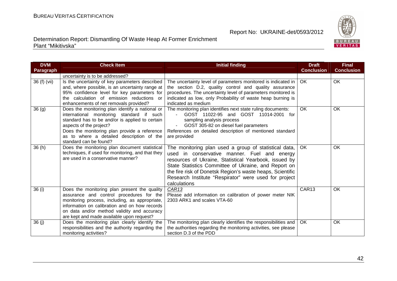

| <b>DVM</b>   | <b>Check Item</b>                                                          | <b>Initial finding</b>                                             | <b>Draft</b>      | <b>Final</b>      |
|--------------|----------------------------------------------------------------------------|--------------------------------------------------------------------|-------------------|-------------------|
| Paragraph    |                                                                            |                                                                    | <b>Conclusion</b> | <b>Conclusion</b> |
|              | uncertainty is to be addressed?                                            |                                                                    |                   |                   |
| 36 (f) (vii) | Is the uncertainty of key parameters described                             | The uncertainty level of parameters monitored is indicated in      | OK.               | <b>OK</b>         |
|              | and, where possible, is an uncertainty range at                            | the section D.2, quality control and quality assurance             |                   |                   |
|              | 95% confidence level for key parameters for                                | procedures. The uncertainty level of parameters monitored is       |                   |                   |
|              | the calculation of emission reductions or                                  | indicated as low, only Probability of waste heap burning is        |                   |                   |
|              | enhancements of net removals provided?                                     | indicated as medium                                                |                   |                   |
| 36(9)        | Does the monitoring plan identify a national or                            | The monitoring plan identifies next state ruling documents:        | <b>OK</b>         | OK                |
|              | international monitoring standard if such                                  | GOST 11022-95 and GOST 11014-2001 for                              |                   |                   |
|              | standard has to be and/or is applied to certain<br>aspects of the project? | sampling analysis process<br>GOST 305-82 on diesel fuel parameters |                   |                   |
|              | Does the monitoring plan provide a reference                               | References on detailed description of mentioned standard           |                   |                   |
|              | as to where a detailed description of the                                  | are provided                                                       |                   |                   |
|              | standard can be found?                                                     |                                                                    |                   |                   |
| 36 (h)       | Does the monitoring plan document statistical                              | The monitoring plan used a group of statistical data,              | OK                | <b>OK</b>         |
|              | techniques, if used for monitoring, and that they                          | used in conservative manner. Fuel and energy                       |                   |                   |
|              | are used in a conservative manner?                                         | resources of Ukraine, Statistical Yearbook, issued by              |                   |                   |
|              |                                                                            | State Statistics Committee of Ukraine, and Report on               |                   |                   |
|              |                                                                            | the fire risk of Donetsk Region's waste heaps, Scientific          |                   |                   |
|              |                                                                            | Research Institute "Respirator" were used for project              |                   |                   |
|              |                                                                            | calculations                                                       |                   |                   |
| 36 (i)       | Does the monitoring plan present the quality                               | CAR13                                                              | CAR13             | <b>OK</b>         |
|              | assurance and control procedures for the                                   | Please add information on calibration of power meter NIK           |                   |                   |
|              | monitoring process, including, as appropriate,                             | 2303 ARK1 and scales VTA-60                                        |                   |                   |
|              | information on calibration and on how records                              |                                                                    |                   |                   |
|              | on data and/or method validity and accuracy                                |                                                                    |                   |                   |
|              | are kept and made available upon request?                                  |                                                                    |                   |                   |
| 36 (j)       | Does the monitoring plan clearly identify the                              | The monitoring plan clearly identifies the responsibilities and    | OK.               | <b>OK</b>         |
|              | responsibilities and the authority regarding the                           | the authorities regarding the monitoring activities, see please    |                   |                   |
|              | monitoring activities?                                                     | section D.3 of the PDD                                             |                   |                   |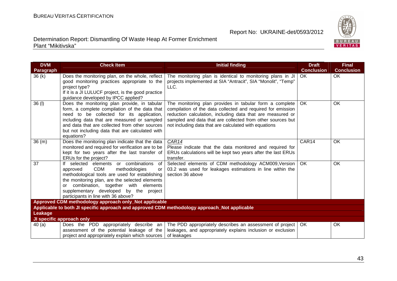

| <b>DVM</b> | <b>Check Item</b>                                                                                                                                                                                                                                                                                                          | <b>Initial finding</b>                                                                                                                                                                                                                                                                                      | <b>Draft</b>      | <b>Final</b>      |
|------------|----------------------------------------------------------------------------------------------------------------------------------------------------------------------------------------------------------------------------------------------------------------------------------------------------------------------------|-------------------------------------------------------------------------------------------------------------------------------------------------------------------------------------------------------------------------------------------------------------------------------------------------------------|-------------------|-------------------|
| Paragraph  |                                                                                                                                                                                                                                                                                                                            |                                                                                                                                                                                                                                                                                                             | <b>Conclusion</b> | <b>Conclusion</b> |
| 36(k)      | Does the monitoring plan, on the whole, reflect<br>good monitoring practices appropriate to the<br>project type?<br>If it is a JI LULUCF project, is the good practice<br>guidance developed by IPCC applied?                                                                                                              | The monitoring plan is identical to monitoring plans in JI<br>projects implemented at SIA "Antracit", SIA "Monolit", "Temp"<br>LLC.                                                                                                                                                                         | OK                | OK                |
| 36 (I)     | Does the monitoring plan provide, in tabular<br>form, a complete compilation of the data that<br>need to be collected for its application,<br>including data that are measured or sampled<br>and data that are collected from other sources<br>but not including data that are calculated with<br>equations?               | The monitoring plan provides in tabular form a complete<br>compilation of the data collected and required for emission<br>reduction calculation, including data that are measured or<br>sampled and data that are collected from other sources but<br>not including data that are calculated with equations | <b>OK</b>         | OK                |
| 36(m)      | Does the monitoring plan indicate that the data<br>monitored and required for verification are to be<br>kept for two years after the last transfer of<br>ERUs for the project?                                                                                                                                             | CAR14<br>Please indicate that the data monitored and required for<br>ERUs calculations will be kept two years after the last ERUs<br>transfer.                                                                                                                                                              | CAR14             | OK                |
| 37         | If selected elements or combinations<br>of<br><b>CDM</b><br>methodologies<br>approved<br>or<br>methodological tools are used for establishing<br>the monitoring plan, are the selected elements<br>or combination, together with elements<br>supplementary developed by the project<br>participants in line with 36 above? | Selected elements of CDM methodology ACM009, Version<br>03.2 was used for leakages estimations in line within the<br>section 36 above                                                                                                                                                                       | <b>OK</b>         | OK                |
|            | Approved CDM methodology approach only_Not applicable                                                                                                                                                                                                                                                                      |                                                                                                                                                                                                                                                                                                             |                   |                   |
|            | Applicable to both JI specific approach and approved CDM methodology approach_Not applicable                                                                                                                                                                                                                               |                                                                                                                                                                                                                                                                                                             |                   |                   |
| Leakage    |                                                                                                                                                                                                                                                                                                                            |                                                                                                                                                                                                                                                                                                             |                   |                   |
|            | JI specific approach only                                                                                                                                                                                                                                                                                                  |                                                                                                                                                                                                                                                                                                             |                   |                   |
| 40(a)      | Does the PDD appropriately describe an<br>assessment of the potential leakage of the<br>project and appropriately explain which sources                                                                                                                                                                                    | The PDD appropriately describes an assessment of project<br>leakages, and appropriately explains inclusion or exclusion<br>of leakages                                                                                                                                                                      | OK.               | OK                |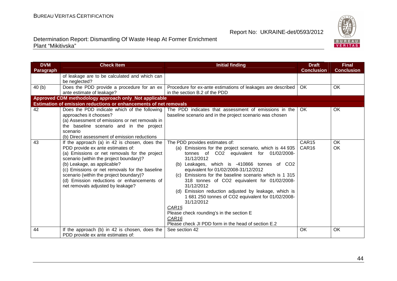

| <b>DVM</b> | <b>Check Item</b>                                                                  | <b>Initial finding</b>                                                                              | <b>Draft</b>      | <b>Final</b>      |
|------------|------------------------------------------------------------------------------------|-----------------------------------------------------------------------------------------------------|-------------------|-------------------|
| Paragraph  |                                                                                    |                                                                                                     | <b>Conclusion</b> | <b>Conclusion</b> |
|            | of leakage are to be calculated and which can                                      |                                                                                                     |                   |                   |
|            | be neglected?                                                                      |                                                                                                     |                   |                   |
| 40(b)      | Does the PDD provide a procedure for an ex                                         | Procedure for ex-ante estimations of leakages are described                                         | OK                | OK                |
|            | ante estimate of leakage?                                                          | in the section B.2 of the PDD                                                                       |                   |                   |
|            | Approved CDM methodology approach only_Not applicable                              |                                                                                                     |                   |                   |
|            | Estimation of emission reductions or enhancements of net removals                  |                                                                                                     |                   |                   |
| 42         | Does the PDD indicate which of the following                                       | The PDD indicates that assessment of emissions in the                                               | OK.               | OK                |
|            | approaches it chooses?                                                             | baseline scenario and in the project scenario was chosen                                            |                   |                   |
|            | (a) Assessment of emissions or net removals in                                     |                                                                                                     |                   |                   |
|            | the baseline scenario and in the project                                           |                                                                                                     |                   |                   |
|            | scenario                                                                           |                                                                                                     |                   |                   |
|            | (b) Direct assessment of emission reductions                                       |                                                                                                     |                   |                   |
| 43         | If the approach (a) in 42 is chosen, does the                                      | The PDD provides estimates of:                                                                      | CAR15             | OK<br>OK          |
|            | PDD provide ex ante estimates of:<br>(a) Emissions or net removals for the project | (a) Emissions for the project scenario, which is 44 935<br>tonnes of CO2 equivalent for 01/02/2008- | CAR <sub>16</sub> |                   |
|            | scenario (within the project boundary)?                                            | 31/12/2012                                                                                          |                   |                   |
|            | (b) Leakage, as applicable?                                                        | (b) Leakages, which is -410866 tonnes of CO2                                                        |                   |                   |
|            | (c) Emissions or net removals for the baseline                                     | equivalent for 01/02/2008-31/12/2012                                                                |                   |                   |
|            | scenario (within the project boundary)?                                            | (c) Emissions for the baseline scenario which is 1 315                                              |                   |                   |
|            | (d) Emission reductions or enhancements of                                         | 318 tonnes of CO2 equivalent for 01/02/2008-                                                        |                   |                   |
|            | net removals adjusted by leakage?                                                  | 31/12/2012                                                                                          |                   |                   |
|            |                                                                                    | (d) Emission reduction adjusted by leakage, which is                                                |                   |                   |
|            |                                                                                    | 1 681 250 tonnes of CO2 equivalent for 01/02/2008-                                                  |                   |                   |
|            |                                                                                    | 31/12/2012                                                                                          |                   |                   |
|            |                                                                                    | CAR <sub>15</sub>                                                                                   |                   |                   |
|            |                                                                                    | Please check rounding's in the section E                                                            |                   |                   |
|            |                                                                                    | CAR16                                                                                               |                   |                   |
|            |                                                                                    | Please check JI PDD form in the head of section E.2                                                 |                   |                   |
| 44         | If the approach (b) in 42 is chosen, does the                                      | See section 42                                                                                      | <b>OK</b>         | OK                |
|            | PDD provide ex ante estimates of:                                                  |                                                                                                     |                   |                   |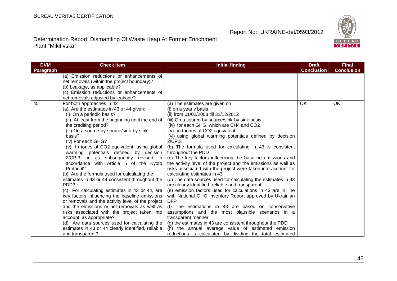

| <b>DVM</b> | <b>Check Item</b>                                  | <b>Initial finding</b>                                         | <b>Draft</b>      | <b>Final</b>      |
|------------|----------------------------------------------------|----------------------------------------------------------------|-------------------|-------------------|
| Paragraph  |                                                    |                                                                | <b>Conclusion</b> | <b>Conclusion</b> |
|            | (a) Emission reductions or enhancements of         |                                                                |                   |                   |
|            | net removals (within the project boundary)?        |                                                                |                   |                   |
|            | (b) Leakage, as applicable?                        |                                                                |                   |                   |
|            | (c) Emission reductions or enhancements of         |                                                                |                   |                   |
|            | net removals adjusted by leakage?                  |                                                                |                   |                   |
| 45         | For both approaches in 42                          | (a) The estimates are given on                                 | <b>OK</b>         | OK.               |
|            | (a) Are the estimates in 43 or 44 given:           | (i) on a yearly basis                                          |                   |                   |
|            | (i) On a periodic basis?                           | (ii) from 01/02/2008 till 31/12/2012                           |                   |                   |
|            | (ii) At least from the beginning until the end of  | (iii) On a source-by-source/sink-by-sink basis                 |                   |                   |
|            | the crediting period?                              | (iv) for each GHG, which are CH4 and CO2                       |                   |                   |
|            | (iii) On a source-by-source/sink-by-sink           | (v) in tonnes of CO2 equivalent                                |                   |                   |
|            | basis?                                             | (vi) using global warming potentials defined by decision       |                   |                   |
|            | (iv) For each GHG?                                 | 2/CP.3                                                         |                   |                   |
|            | (v) In tones of CO2 equivalent, using global       | (b) The formula used for calculating in 43 is consistent       |                   |                   |
|            | warming potentials defined by decision             | throughout the PDD                                             |                   |                   |
|            | 2/CP.3 or as subsequently revised in               | (c) The key factors influencing the baseline emissions and     |                   |                   |
|            | accordance with Article 5 of the Kyoto             | the activity level of the project and the emissions as well as |                   |                   |
|            | Protocol?                                          | risks associated with the project were taken into account for  |                   |                   |
|            | (b) Are the formula used for calculating the       | calculating estimates in 43                                    |                   |                   |
|            | estimates in 43 or 44 consistent throughout the    | (d) The data sources used for calculating the estimates in 43  |                   |                   |
|            | PDD?                                               | are clearly identified, reliable and transparent.              |                   |                   |
|            | (c) For calculating estimates in 43 or 44, are     | (e) emission factors used for calculations in 43 are in line   |                   |                   |
|            | key factors influencing the baseline emissions     | with National GHG Inventory Report approved by Ukrainian       |                   |                   |
|            | or removals and the activity level of the project  | <b>DFP</b>                                                     |                   |                   |
|            | and the emissions or net removals as well as       | (f) The estimations in 43 are based on conservative            |                   |                   |
|            | risks associated with the project taken into       | assumptions and the most plausible scenarios in a              |                   |                   |
|            | account, as appropriate?                           | transparent manner                                             |                   |                   |
|            | (d) Are data sources used for calculating the      | (g) the estimates in 43 are consistent throughout the PDD      |                   |                   |
|            | estimates in 43 or 44 clearly identified, reliable | the annual average value of estimated emission<br>(h)          |                   |                   |
|            | and transparent?                                   | reductions is calculated by dividing the total estimated       |                   |                   |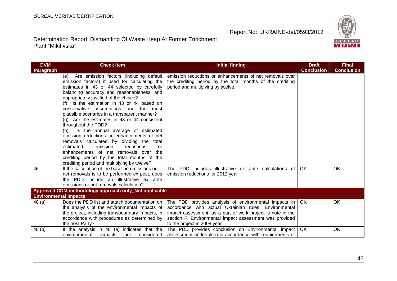

| <b>DVM</b>                   | <b>Check Item</b>                                     | <b>Initial finding</b>                                      | <b>Draft</b>      | <b>Final</b>      |
|------------------------------|-------------------------------------------------------|-------------------------------------------------------------|-------------------|-------------------|
| Paragraph                    |                                                       |                                                             | <b>Conclusion</b> | <b>Conclusion</b> |
|                              | Are emission factors (including default<br>(e)        | emission reductions or enhancements of net removals over    |                   |                   |
|                              | emission factors) if used for calculating the         | the crediting period by the total months of the crediting   |                   |                   |
|                              | estimates in 43 or 44 selected by carefully           | period and multiplying by twelve.                           |                   |                   |
|                              | balancing accuracy and reasonableness, and            |                                                             |                   |                   |
|                              | appropriately justified of the choice?                |                                                             |                   |                   |
|                              | (f) Is the estimation in 43 or 44 based on            |                                                             |                   |                   |
|                              | conservative assumptions and the most                 |                                                             |                   |                   |
|                              | plausible scenarios in a transparent manner?          |                                                             |                   |                   |
|                              | $(q)$ Are the estimates in 43 or 44 consistent        |                                                             |                   |                   |
|                              | throughout the PDD?                                   |                                                             |                   |                   |
|                              | Is the annual average of estimated<br>(h)             |                                                             |                   |                   |
|                              | emission reductions or enhancements of net            |                                                             |                   |                   |
|                              | removals calculated by dividing the total             |                                                             |                   |                   |
|                              | estimated<br>emission<br>reductions<br>or             |                                                             |                   |                   |
|                              | enhancements of net removals over<br>the              |                                                             |                   |                   |
|                              | crediting period by the total months of the           |                                                             |                   |                   |
|                              | crediting period and multiplying by twelve?           |                                                             |                   |                   |
| 46                           | If the calculation of the baseline emissions or       | The PDD includes illustrative ex ante calculations of       | OK.               | <b>OK</b>         |
|                              | net removals is to be performed ex post, does         | emission reductions for 2012 year                           |                   |                   |
|                              | the PDD include an illustrative ex ante               |                                                             |                   |                   |
|                              | emissions or net removals calculation?                |                                                             |                   |                   |
|                              | Approved CDM methodology approach only_Not applicable |                                                             |                   |                   |
| <b>Environmental impacts</b> |                                                       |                                                             |                   |                   |
| 48 (a)                       | Does the PDD list and attach documentation on         | The PDD provides analysis of environmental impacts in       | OK.               | OK                |
|                              | the analysis of the environmental impacts of          | accordance with actual Ukrainian rules. Environmental       |                   |                   |
|                              | the project, including transboundary impacts, in      | impact assessment, as a part of work project is note in the |                   |                   |
|                              | accordance with procedures as determined by           | section F. Environmental impact assessment was provided     |                   |                   |
|                              | the host Party?                                       | to the project in 2008 year                                 |                   |                   |
| 48 (b)                       | If the analysis in 48 (a) indicates that the          | The PDD provides conclusion on Environmental impact         | OK                | OK                |
|                              | environmental<br>considered<br>impacts<br>are         | assessment undertaken in accordance with requirements of    |                   |                   |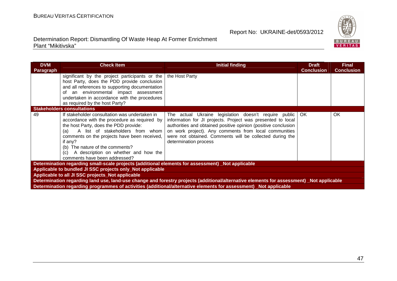

| <b>DVM</b>                                                                                                                              | <b>Check Item</b>                                                                                                                                                                                                                                                                                                                                               | <b>Initial finding</b>                                                                                                                                                                                                                                                                                                               | <b>Draft</b>      | <b>Final</b>      |  |  |
|-----------------------------------------------------------------------------------------------------------------------------------------|-----------------------------------------------------------------------------------------------------------------------------------------------------------------------------------------------------------------------------------------------------------------------------------------------------------------------------------------------------------------|--------------------------------------------------------------------------------------------------------------------------------------------------------------------------------------------------------------------------------------------------------------------------------------------------------------------------------------|-------------------|-------------------|--|--|
| Paragraph                                                                                                                               |                                                                                                                                                                                                                                                                                                                                                                 |                                                                                                                                                                                                                                                                                                                                      | <b>Conclusion</b> | <b>Conclusion</b> |  |  |
|                                                                                                                                         | significant by the project participants or the<br>host Party, does the PDD provide conclusion<br>and all references to supporting documentation<br>of an environmental impact assessment<br>undertaken in accordance with the procedures<br>as required by the host Party?                                                                                      | the Host Party                                                                                                                                                                                                                                                                                                                       |                   |                   |  |  |
| <b>Stakeholders consultations</b>                                                                                                       |                                                                                                                                                                                                                                                                                                                                                                 |                                                                                                                                                                                                                                                                                                                                      |                   |                   |  |  |
| 49                                                                                                                                      | If stakeholder consultation was undertaken in<br>accordance with the procedure as required by<br>the host Party, does the PDD provide:<br>A list of stakeholders from whom<br>(a)<br>comments on the projects have been received,<br>if any?<br>(b) The nature of the comments?<br>A description on whether and how the<br>(c)<br>comments have been addressed? | The actual Ukraine legislation doesn't require public<br>information for JI projects. Project was presented to local<br>authorities and obtained positive opinion (positive conclusion<br>on work project). Any comments from local communities<br>were not obtained. Comments will be collected during the<br>determination process | OK.               | OK                |  |  |
| Determination regarding small-scale projects (additional elements for assessment) Not applicable                                        |                                                                                                                                                                                                                                                                                                                                                                 |                                                                                                                                                                                                                                                                                                                                      |                   |                   |  |  |
| Applicable to bundled JI SSC projects only_Not applicable                                                                               |                                                                                                                                                                                                                                                                                                                                                                 |                                                                                                                                                                                                                                                                                                                                      |                   |                   |  |  |
| Applicable to all JI SSC projects_Not applicable                                                                                        |                                                                                                                                                                                                                                                                                                                                                                 |                                                                                                                                                                                                                                                                                                                                      |                   |                   |  |  |
| Determination regarding land use, land-use change and forestry projects (additional/alternative elements for assessment) Not applicable |                                                                                                                                                                                                                                                                                                                                                                 |                                                                                                                                                                                                                                                                                                                                      |                   |                   |  |  |
| Determination regarding programmes of activities (additional/alternative elements for assessment) Not applicable                        |                                                                                                                                                                                                                                                                                                                                                                 |                                                                                                                                                                                                                                                                                                                                      |                   |                   |  |  |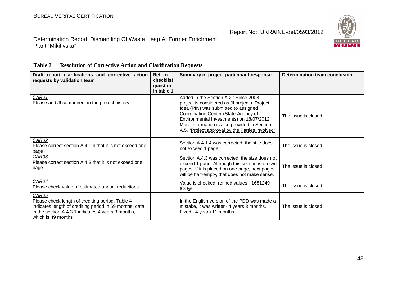

#### Determination Report: Dismantling Of Waste Heap At Former Enrichment Plant "Mikitivska"

| 1 avit 4<br>Resolution of Corrective Action and Clarification Requests                                                                                                                           |                                                |                                                                                                                                                                                                                                                                                                                        |                               |  |
|--------------------------------------------------------------------------------------------------------------------------------------------------------------------------------------------------|------------------------------------------------|------------------------------------------------------------------------------------------------------------------------------------------------------------------------------------------------------------------------------------------------------------------------------------------------------------------------|-------------------------------|--|
| Draft report clarifications and corrective action<br>requests by validation team                                                                                                                 | Ref. to<br>checklist<br>question<br>in table 1 | Summary of project participant response                                                                                                                                                                                                                                                                                | Determination team conclusion |  |
| CAR01<br>Please add JI component in the project history                                                                                                                                          |                                                | Added in the Section A.2.: Since 2008<br>project is considered as JI projects. Project<br>Idea (PIN) was submitted to assigned<br>Coordinating Center (State Agency of<br>Environmental Investments) on 18/07/2012.<br>More information is also provided in Section<br>A.5. "Project approval by the Parties involved" | The issue is closed           |  |
| CAR02<br>Please correct section A.4.1.4 that it is not exceed one<br>page                                                                                                                        |                                                | Section A.4.1.4 was corrected, the size does<br>not exceed 1 page.                                                                                                                                                                                                                                                     | The issue is closed           |  |
| CAR03<br>Please correct section A.4.3 that it is not exceed one<br>page                                                                                                                          |                                                | Section A.4.3 was corrected, the size does not<br>exceed 1 page. Although this section is on two<br>pages. If it is placed on one page, next pages<br>will be half-empty, that does not make sense.                                                                                                                    | The issue is closed           |  |
| CAR04<br>Please check value of estimated annual reductions                                                                                                                                       |                                                | Value is checked, refined values - 1681249<br>tCO <sub>2</sub> e                                                                                                                                                                                                                                                       | The issue is closed           |  |
| CAR05<br>Please check length of crediting period. Table 4<br>indicates length of crediting period in 59 months, data<br>in the section A.4.3.1 indicates 4 years 3 months,<br>which is 49 months |                                                | In the English version of the PDD was made a<br>mistake, it was written- 4 years 3 months.<br>Fixed - 4 years 11 months.                                                                                                                                                                                               | The issue is closed           |  |

#### **Table 2 Resolution of Corrective Action and Clarification Requests**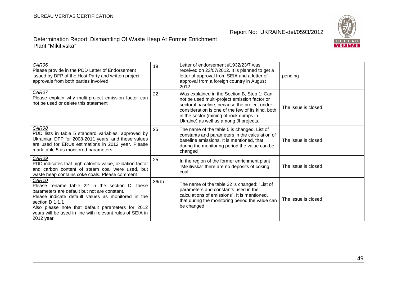

| CAR06<br>Please provide in the PDD Letter of Endorsement<br>issued by DFP of the Host Party and written project<br>approvals from both parties involved                                                                                                                                                                     | 19    | Letter of endorsement #1932/23/7 was<br>received on 23/07/2012. It is planned to get a<br>letter of approval from SEIA and a letter of<br>approval from a foreign country in August<br>2012.                                                                                         | pending             |
|-----------------------------------------------------------------------------------------------------------------------------------------------------------------------------------------------------------------------------------------------------------------------------------------------------------------------------|-------|--------------------------------------------------------------------------------------------------------------------------------------------------------------------------------------------------------------------------------------------------------------------------------------|---------------------|
| CAR07<br>Please explain why multi-project emission factor can<br>not be used or delete this statement                                                                                                                                                                                                                       | 22    | Was explained in the Section B, Step 1: Can<br>not be used multi-project emission factor or<br>sectoral baseline, because the project under<br>consideration is one of the few of its kind, both<br>in the sector (mining of rock dumps in<br>Ukraine) as well as among JI projects. | The issue is closed |
| CAR08<br>PDD lists in table 5 standard variables, approved by<br>Ukrainian DFP for 2008-2011 years, and these values<br>are used for ERUs estimations in 2012 year. Please<br>mark table 5 as monitored parameters.                                                                                                         | 25    | The name of the table 5 is changed. List of<br>constants and parameters in the calculation of<br>baseline emissions. It is mentioned, that<br>during the monitoring period the value can be<br>changed                                                                               | The issue is closed |
| CAR09<br>PDD indicates that high calorific value, oxidation factor<br>and carbon content of steam coal were used, but<br>waste heap contains coke coals. Please comment                                                                                                                                                     | 25    | In the region of the former enrichment plant<br>"Mikitivska" there are no deposits of coking<br>coal.                                                                                                                                                                                | The issue is closed |
| CAR <sub>10</sub><br>Please rename table 22 in the section D, these<br>parameters are default but not are constant.<br>Please indicate default values as monitored in the<br>section D.1.1.1<br>Also please note that default parameters for 2012<br>years will be used in line with relevant rules of SEIA in<br>2012 year | 36(b) | The name of the table 22 is changed: "List of<br>parameters and constants used in the<br>calculations of emissions". It is mentioned,<br>that during the monitoring period the value can<br>be changed                                                                               | The issue is closed |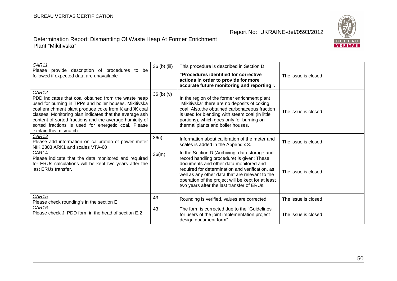

| CAR11<br>Please provide description of procedures to be<br>followed if expected data are unavailable                                                                                                                                                                                                                                                                                               | 36 (b) (iii) | This procedure is described in Section D<br>"Procedures identified for corrective"<br>actions in order to provide for more<br>accurate future monitoring and reporting".                                                                                                                                                                        | The issue is closed |
|----------------------------------------------------------------------------------------------------------------------------------------------------------------------------------------------------------------------------------------------------------------------------------------------------------------------------------------------------------------------------------------------------|--------------|-------------------------------------------------------------------------------------------------------------------------------------------------------------------------------------------------------------------------------------------------------------------------------------------------------------------------------------------------|---------------------|
| CAR <sub>12</sub><br>PDD indicates that coal obtained from the waste heap<br>used for burning in TPPs and boiler houses. Mikitivska<br>coal enrichment plant produce coke from K and Ж coal<br>classes. Monitoring plan indicates that the average ash<br>content of sorted fractions and the average humidity of<br>sorted fractions is used for energetic coal. Please<br>explain this mismatch. | 36(b)(v)     | In the region of the former enrichment plant<br>"Mikitivska" there are no deposits of coking<br>coal. Also, the obtained carbonaceous fraction<br>is used for blending with steem coal (in little<br>portions), which goes only for burning on<br>thermal plants and boiler houses.                                                             | The issue is closed |
| CAR13<br>Please add information on calibration of power meter<br>NIK 2303 ARK1 and scales VTA-60                                                                                                                                                                                                                                                                                                   | 36(i)        | Information about calibration of the meter and<br>scales is added in the Appendix 3.                                                                                                                                                                                                                                                            | The issue is closed |
| CAR14<br>Please indicate that the data monitored and required<br>for ERUs calculations will be kept two years after the<br>last ERUs transfer.                                                                                                                                                                                                                                                     | 36(m)        | In the Section D (Archiving, data storage and<br>record handling procedure) is given: These<br>documents and other data monitored and<br>required for determination and verification, as<br>well as any other data that are relevant to the<br>operation of the project will be kept for at least<br>two years after the last transfer of ERUs. | The issue is closed |
| CAR <sub>15</sub><br>Please check rounding's in the section E                                                                                                                                                                                                                                                                                                                                      | 43           | Rounding is verified, values are corrected.                                                                                                                                                                                                                                                                                                     | The issue is closed |
| CAR <sub>16</sub><br>Please check JI PDD form in the head of section E.2                                                                                                                                                                                                                                                                                                                           | 43           | The form is corrected due to the "Guidelines"<br>for users of the joint implementation project<br>design document form".                                                                                                                                                                                                                        | The issue is closed |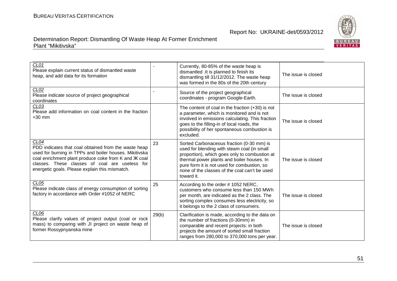

| CL01<br>Please explain current status of dismantled waste<br>heap, and add data for its formation                                                                                                                                                                                              |       | Currently, 80-85% of the waste heap is<br>dismantled .It is planned to finish its<br>dismantling till 31/12/2012. The waste heap<br>was formed in the 80s of the 20th century                                                                                                                         | The issue is closed |
|------------------------------------------------------------------------------------------------------------------------------------------------------------------------------------------------------------------------------------------------------------------------------------------------|-------|-------------------------------------------------------------------------------------------------------------------------------------------------------------------------------------------------------------------------------------------------------------------------------------------------------|---------------------|
| CLO2<br>Please indicate source of project geographical<br>coordinates                                                                                                                                                                                                                          |       | Source of the project geographical<br>coordinates - program Google-Earth.                                                                                                                                                                                                                             | The issue is closed |
| CLO3<br>Please add information on coal content in the fraction<br>$+30$ mm                                                                                                                                                                                                                     |       | The content of coal in the fraction $(+30)$ is not<br>a parameter, which is monitored and is not<br>involved in emissions calculating. This fraction<br>goes to the filling-in of local roads, the<br>possibility of her spontaneous combustion is<br>excluded.                                       | The issue is closed |
| CL <sub>04</sub><br>PDD indicates that coal obtained from the waste heap<br>used for burning in TPPs and boiler houses. Mikitivska<br>coal enrichment plant produce coke from K and Ж coal<br>classes. These classes of coal are useless for<br>energetic goals. Please explain this mismatch. | 23    | Sorted Carbonaceous fraction (0-30 mm) is<br>used for blending with steam coal (in small<br>proportion), which goes only to combustion at<br>thermal power plants and boiler houses. In<br>pure form it is not used for combustion, so<br>none of the classes of the coal can't be used<br>toward it. | The issue is closed |
| CL05<br>Please indicate class of energy consumption of sorting<br>factory in accordance with Order #1052 of NERC                                                                                                                                                                               | 25    | According to the order #1052 NERC,<br>customers who consume less than 150 MWh<br>per month, are indicated as the 2 class. The<br>sorting complex consumes less electricity, so<br>it belongs to the 2 class of consumers.                                                                             | The issue is closed |
| CL <sub>06</sub><br>Please clarify values of project output (coal or rock<br>mass) to comparing with JI project on waste heap of<br>former Rossypnyanska mine                                                                                                                                  | 29(b) | Clarification is made, according to the data on<br>the number of fractions (0-30mm) in<br>comparable and recent projects: in both<br>projects the amount of sorted small fraction<br>ranges from 280,000 to 370,000 tons per year.                                                                    | The issue is closed |